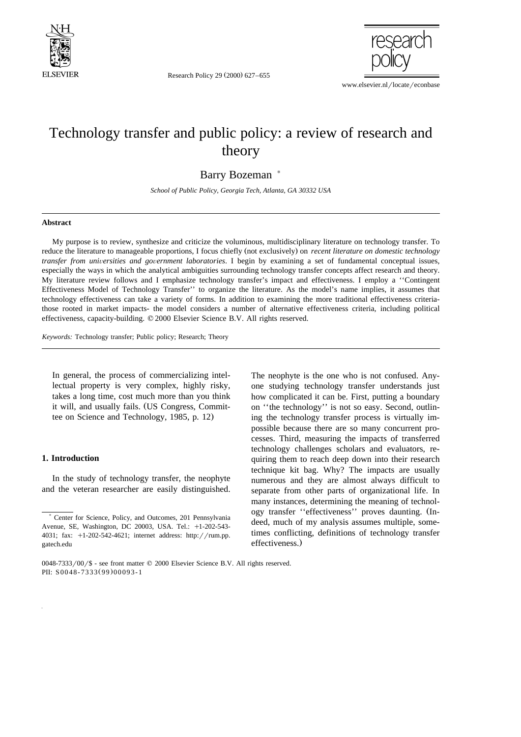

Research Policy 29 (2000) 627-655

www.elsevier.nl/locate/econbase

# Technology transfer and public policy: a review of research and theory

Barry Bozeman \*

*School of Public Policy, Georgia Tech, Atlanta, GA 30332 USA*

#### **Abstract**

My purpose is to review, synthesize and criticize the voluminous, multidisciplinary literature on technology transfer. To reduce the literature to manageable proportions, I focus chiefly (not exclusively) on *recent literature on domestic technology transfer from universities and government laboratories*. I begin by examining a set of fundamental conceptual issues, especially the ways in which the analytical ambiguities surrounding technology transfer concepts affect research and theory. My literature review follows and I emphasize technology transfer's impact and effectiveness. I employ a ''Contingent Effectiveness Model of Technology Transfer'' to organize the literature. As the model's name implies, it assumes that technology effectiveness can take a variety of forms. In addition to examining the more traditional effectiveness criteriathose rooted in market impacts- the model considers a number of alternative effectiveness criteria, including political effectiveness, capacity-building.  $© 2000$  Elsevier Science B.V. All rights reserved.

*Keywords:* Technology transfer; Public policy; Research; Theory

In general, the process of commercializing intellectual property is very complex, highly risky, takes a long time, cost much more than you think it will, and usually fails. (US Congress, Committee on Science and Technology, 1985, p. 12.

## **1. Introduction**

In the study of technology transfer, the neophyte and the veteran researcher are easily distinguished.

The neophyte is the one who is not confused. Anyone studying technology transfer understands just how complicated it can be. First, putting a boundary on ''the technology'' is not so easy. Second, outlining the technology transfer process is virtually impossible because there are so many concurrent processes. Third, measuring the impacts of transferred technology challenges scholars and evaluators, requiring them to reach deep down into their research technique kit bag. Why? The impacts are usually numerous and they are almost always difficult to separate from other parts of organizational life. In many instances, determining the meaning of technology transfer "effectiveness" proves daunting. (Indeed, much of my analysis assumes multiple, sometimes conflicting, definitions of technology transfer effectiveness..

<sup>)</sup> Center for Science, Policy, and Outcomes, 201 Pennsylvania Avenue, SE, Washington, DC 20003, USA. Tel.: +1-202-543-4031; fax:  $+1-202-542-4621$ ; internet address: http://rum.pp. gatech.edu

 $0.048-7333/00/$ \$ - see front matter  $\odot$  2000 Elsevier Science B.V. All rights reserved. PII: S0048-7333(99)00093-1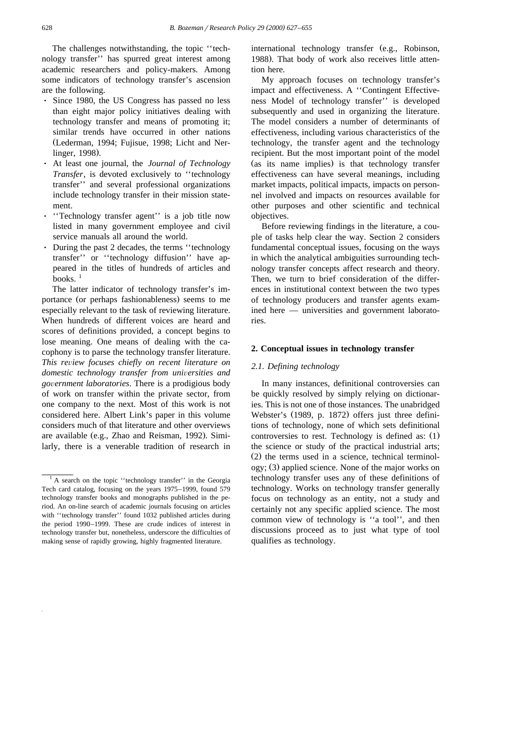The challenges notwithstanding, the topic ''technology transfer'' has spurred great interest among academic researchers and policy-makers. Among some indicators of technology transfer's ascension are the following.

- Since 1980, the US Congress has passed no less than eight major policy initiatives dealing with technology transfer and means of promoting it; similar trends have occurred in other nations (Lederman, 1994; Fujisue, 1998; Licht and Nerlinger, 1998).
- At least one journal, the *Journal of Technology Transfer*, is devoted exclusively to ''technology transfer'' and several professional organizations include technology transfer in their mission statement.
- "Technology transfer agent" is a job title now listed in many government employee and civil service manuals all around the world.
- During the past 2 decades, the terms "technology transfer'' or ''technology diffusion'' have appeared in the titles of hundreds of articles and books.  $1$

The latter indicator of technology transfer's importance (or perhaps fashionableness) seems to me especially relevant to the task of reviewing literature. When hundreds of different voices are heard and scores of definitions provided, a concept begins to lose meaning. One means of dealing with the cacophony is to parse the technology transfer literature. *This re*Õ*iew focuses chiefly on recent literature on domestic technology transfer from universities and government laboratories*. There is a prodigious body of work on transfer within the private sector, from one company to the next. Most of this work is not considered here. Albert Link's paper in this volume considers much of that literature and other overviews are available (e.g., Zhao and Reisman, 1992). Similarly, there is a venerable tradition of research in international technology transfer (e.g., Robinson, 1988). That body of work also receives little attention here.

My approach focuses on technology transfer's impact and effectiveness. A ''Contingent Effectiveness Model of technology transfer'' is developed subsequently and used in organizing the literature. The model considers a number of determinants of effectiveness, including various characteristics of the technology, the transfer agent and the technology recipient. But the most important point of the model (as its name implies) is that technology transfer effectiveness can have several meanings, including market impacts, political impacts, impacts on personnel involved and impacts on resources available for other purposes and other scientific and technical objectives.

Before reviewing findings in the literature, a couple of tasks help clear the way. Section 2 considers fundamental conceptual issues, focusing on the ways in which the analytical ambiguities surrounding technology transfer concepts affect research and theory. Then, we turn to brief consideration of the differences in institutional context between the two types of technology producers and transfer agents examined here — universities and government laboratories.

#### **2. Conceptual issues in technology transfer**

## *2.1. Defining technology*

In many instances, definitional controversies can be quickly resolved by simply relying on dictionaries. This is not one of those instances. The unabridged Webster's (1989, p. 1872) offers just three definitions of technology, none of which sets definitional controversies to rest. Technology is defined as:  $(1)$ the science or study of the practical industrial arts;  $(2)$  the terms used in a science, technical terminol- $\log y$ ; (3) applied science. None of the major works on technology transfer uses any of these definitions of technology. Works on technology transfer generally focus on technology as an entity, not a study and certainly not any specific applied science. The most common view of technology is ''a tool'', and then discussions proceed as to just what type of tool qualifies as technology.

<sup>1</sup> A search on the topic ''technology transfer'' in the Georgia Tech card catalog, focusing on the years 1975–1999, found 579 technology transfer books and monographs published in the period. An on-line search of academic journals focusing on articles with ''technology transfer'' found 1032 published articles during the period 1990–1999. These are crude indices of interest in technology transfer but, nonetheless, underscore the difficulties of making sense of rapidly growing, highly fragmented literature.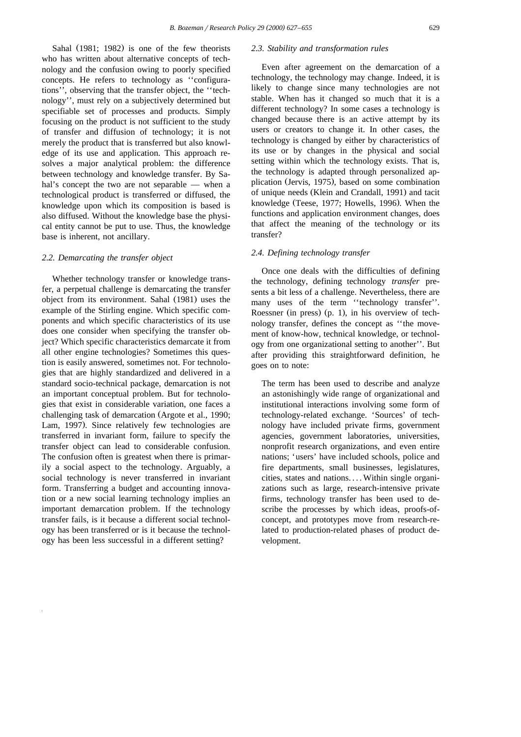Sahal  $(1981; 1982)$  is one of the few theorists who has written about alternative concepts of technology and the confusion owing to poorly specified concepts. He refers to technology as ''configurations'', observing that the transfer object, the ''technology'', must rely on a subjectively determined but specifiable set of processes and products. Simply focusing on the product is not sufficient to the study of transfer and diffusion of technology; it is not merely the product that is transferred but also knowledge of its use and application. This approach resolves a major analytical problem: the difference between technology and knowledge transfer. By Sahal's concept the two are not separable — when a technological product is transferred or diffused, the knowledge upon which its composition is based is also diffused. Without the knowledge base the physical entity cannot be put to use. Thus, the knowledge base is inherent, not ancillary.

#### *2.2. Demarcating the transfer object*

Whether technology transfer or knowledge transfer, a perpetual challenge is demarcating the transfer object from its environment. Sahal (1981) uses the example of the Stirling engine. Which specific components and which specific characteristics of its use does one consider when specifying the transfer object? Which specific characteristics demarcate it from all other engine technologies? Sometimes this question is easily answered, sometimes not. For technologies that are highly standardized and delivered in a standard socio-technical package, demarcation is not an important conceptual problem. But for technologies that exist in considerable variation, one faces a challenging task of demarcation (Argote et al., 1990; Lam, 1997). Since relatively few technologies are. transferred in invariant form, failure to specify the transfer object can lead to considerable confusion. The confusion often is greatest when there is primarily a social aspect to the technology. Arguably, a social technology is never transferred in invariant form. Transferring a budget and accounting innovation or a new social learning technology implies an important demarcation problem. If the technology transfer fails, is it because a different social technology has been transferred or is it because the technology has been less successful in a different setting?

#### *2.3. Stability and transformation rules*

Even after agreement on the demarcation of a technology, the technology may change. Indeed, it is likely to change since many technologies are not stable. When has it changed so much that it is a different technology? In some cases a technology is changed because there is an active attempt by its users or creators to change it. In other cases, the technology is changed by either by characteristics of its use or by changes in the physical and social setting within which the technology exists. That is, the technology is adapted through personalized application (Jervis, 1975), based on some combination of unique needs (Klein and Crandall, 1991) and tacit knowledge (Teese, 1977; Howells, 1996). When the functions and application environment changes, does that affect the meaning of the technology or its transfer?

#### *2.4. Defining technology transfer*

Once one deals with the difficulties of defining the technology, defining technology *transfer* presents a bit less of a challenge. Nevertheless, there are many uses of the term ''technology transfer''. Roessner (in press) (p. 1), in his overview of technology transfer, defines the concept as ''the movement of know-how, technical knowledge, or technology from one organizational setting to another''. But after providing this straightforward definition, he goes on to note:

The term has been used to describe and analyze an astonishingly wide range of organizational and institutional interactions involving some form of technology-related exchange. 'Sources' of technology have included private firms, government agencies, government laboratories, universities, nonprofit research organizations, and even entire nations; 'users' have included schools, police and fire departments, small businesses, legislatures, cities, states and nations.... Within single organizations such as large, research-intensive private firms, technology transfer has been used to describe the processes by which ideas, proofs-ofconcept, and prototypes move from research-related to production-related phases of product development.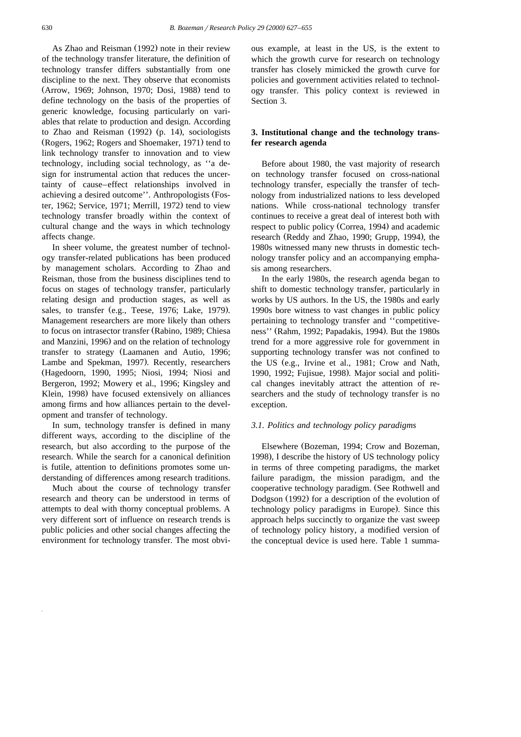As Zhao and Reisman (1992) note in their review of the technology transfer literature, the definition of technology transfer differs substantially from one discipline to the next. They observe that economists (Arrow, 1969; Johnson, 1970; Dosi, 1988) tend to define technology on the basis of the properties of generic knowledge, focusing particularly on variables that relate to production and design. According to Zhao and Reisman  $(1992)$  (p. 14), sociologists (Rogers, 1962; Rogers and Shoemaker, 1971) tend to link technology transfer to innovation and to view technology, including social technology, as ''a design for instrumental action that reduces the uncertainty of cause–effect relationships involved in achieving a desired outcome''. Anthropologists (Foster, 1962; Service, 1971; Merrill, 1972) tend to view technology transfer broadly within the context of cultural change and the ways in which technology affects change.

In sheer volume, the greatest number of technology transfer-related publications has been produced by management scholars. According to Zhao and Reisman, those from the business disciplines tend to focus on stages of technology transfer, particularly relating design and production stages, as well as sales, to transfer (e.g., Teese,  $1976$ ; Lake,  $1979$ ). Management researchers are more likely than others to focus on intrasector transfer (Rabino, 1989; Chiesa and Manzini, 1996) and on the relation of technology transfer to strategy (Laamanen and Autio, 1996; Lambe and Spekman, 1997). Recently, researchers (Hagedoorn, 1990, 1995; Niosi, 1994; Niosi and Bergeron, 1992; Mowery et al., 1996; Kingsley and Klein, 1998) have focused extensively on alliances among firms and how alliances pertain to the development and transfer of technology.

In sum, technology transfer is defined in many different ways, according to the discipline of the research, but also according to the purpose of the research. While the search for a canonical definition is futile, attention to definitions promotes some understanding of differences among research traditions.

Much about the course of technology transfer research and theory can be understood in terms of attempts to deal with thorny conceptual problems. A very different sort of influence on research trends is public policies and other social changes affecting the environment for technology transfer. The most obvious example, at least in the US, is the extent to which the growth curve for research on technology transfer has closely mimicked the growth curve for policies and government activities related to technology transfer. This policy context is reviewed in Section 3.

# **3. Institutional change and the technology transfer research agenda**

Before about 1980, the vast majority of research on technology transfer focused on cross-national technology transfer, especially the transfer of technology from industrialized nations to less developed nations. While cross-national technology transfer continues to receive a great deal of interest both with respect to public policy (Correa, 1994) and academic research (Reddy and Zhao, 1990; Grupp, 1994), the 1980s witnessed many new thrusts in domestic technology transfer policy and an accompanying emphasis among researchers.

In the early 1980s, the research agenda began to shift to domestic technology transfer, particularly in works by US authors. In the US, the 1980s and early 1990s bore witness to vast changes in public policy pertaining to technology transfer and ''competitiveness'' (Rahm, 1992; Papadakis, 1994). But the 1980s trend for a more aggressive role for government in supporting technology transfer was not confined to the US (e.g., Irvine et al., 1981; Crow and Nath, 1990, 1992; Fujisue, 1998). Major social and political changes inevitably attract the attention of researchers and the study of technology transfer is no exception.

#### *3.1. Politics and technology policy paradigms*

Elsewhere (Bozeman, 1994; Crow and Bozeman, 1998), I describe the history of US technology policy in terms of three competing paradigms, the market failure paradigm, the mission paradigm, and the cooperative technology paradigm. (See Rothwell and Dodgson (1992) for a description of the evolution of technology policy paradigms in Europe). Since this approach helps succinctly to organize the vast sweep of technology policy history, a modified version of the conceptual device is used here. Table 1 summa-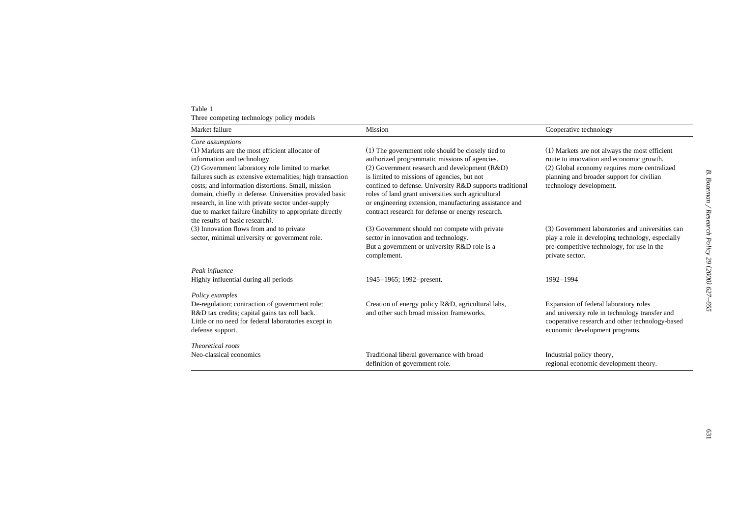#### Table 1 Three competing technology policy models

| Market failure                                                                              | Mission                                                  | Cooperative technology                           |
|---------------------------------------------------------------------------------------------|----------------------------------------------------------|--------------------------------------------------|
| Core assumptions                                                                            |                                                          |                                                  |
| (1) Markets are the most efficient allocator of                                             | (1) The government role should be closely tied to        | (1) Markets are not always the most efficient    |
| information and technology.                                                                 | authorized programmatic missions of agencies.            | route to innovation and economic growth.         |
| (2) Government laboratory role limited to market                                            | (2) Government research and development (R&D)            | (2) Global economy requires more centralized     |
| failures such as extensive externalities; high transaction                                  | is limited to missions of agencies, but not              | planning and broader support for civilian        |
| costs; and information distortions. Small, mission                                          | confined to defense. University R&D supports traditional | technology development.                          |
| domain, chiefly in defense. Universities provided basic                                     | roles of land grant universities such agricultural       |                                                  |
| research, in line with private sector under-supply                                          | or engineering extension, manufacturing assistance and   |                                                  |
| due to market failure (inability to appropriate directly<br>the results of basic research). | contract research for defense or energy research.        |                                                  |
| (3) Innovation flows from and to private                                                    | (3) Government should not compete with private           | (3) Government laboratories and universities can |
| sector, minimal university or government role.                                              | sector in innovation and technology.                     | play a role in developing technology, especially |
|                                                                                             | But a government or university R&D role is a             | pre-competitive technology, for use in the       |
|                                                                                             | complement.                                              | private sector.                                  |
| Peak influence                                                                              |                                                          |                                                  |
| Highly influential during all periods                                                       | 1945-1965; 1992-present.                                 | 1992-1994                                        |
| Policy examples                                                                             |                                                          |                                                  |
| De-regulation; contraction of government role;                                              | Creation of energy policy R&D, agricultural labs,        | Expansion of federal laboratory roles            |
| R&D tax credits; capital gains tax roll back.                                               | and other such broad mission frameworks.                 | and university role in technology transfer and   |
| Little or no need for federal laboratories except in                                        |                                                          | cooperative research and other technology-based  |
| defense support.                                                                            |                                                          | economic development programs.                   |
| Theoretical roots                                                                           |                                                          |                                                  |
| Neo-classical economics                                                                     | Traditional liberal governance with broad                | Industrial policy theory,                        |
|                                                                                             | definition of government role.                           | regional economic development theory.            |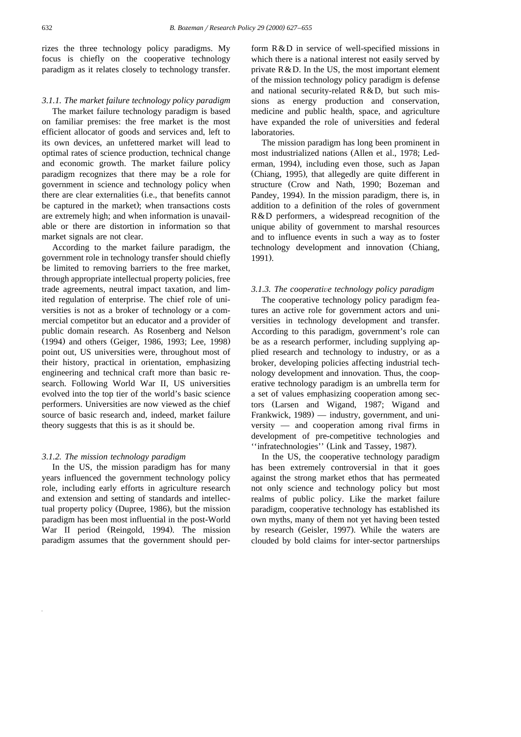rizes the three technology policy paradigms. My focus is chiefly on the cooperative technology paradigm as it relates closely to technology transfer.

## *3.1.1. The market failure technology policy paradigm*

The market failure technology paradigm is based on familiar premises: the free market is the most efficient allocator of goods and services and, left to its own devices, an unfettered market will lead to optimal rates of science production, technical change and economic growth. The market failure policy paradigm recognizes that there may be a role for government in science and technology policy when there are clear externalities (i.e., that benefits cannot be captured in the market); when transactions costs are extremely high; and when information is unavailable or there are distortion in information so that market signals are not clear.

According to the market failure paradigm, the government role in technology transfer should chiefly be limited to removing barriers to the free market, through appropriate intellectual property policies, free trade agreements, neutral impact taxation, and limited regulation of enterprise. The chief role of universities is not as a broker of technology or a commercial competitor but an educator and a provider of public domain research. As Rosenberg and Nelson (1994) and others (Geiger, 1986, 1993; Lee, 1998) point out, US universities were, throughout most of their history, practical in orientation, emphasizing engineering and technical craft more than basic research. Following World War II, US universities evolved into the top tier of the world's basic science performers. Universities are now viewed as the chief source of basic research and, indeed, market failure theory suggests that this is as it should be.

## *3.1.2. The mission technology paradigm*

In the US, the mission paradigm has for many years influenced the government technology policy role, including early efforts in agriculture research and extension and setting of standards and intellectual property policy (Dupree, 1986), but the mission paradigm has been most influential in the post-World War II period (Reingold, 1994). The mission paradigm assumes that the government should perform R&D in service of well-specified missions in which there is a national interest not easily served by private  $R & D$ . In the US, the most important element of the mission technology policy paradigm is defense and national security-related R&D, but such missions as energy production and conservation, medicine and public health, space, and agriculture have expanded the role of universities and federal laboratories.

The mission paradigm has long been prominent in most industrialized nations (Allen et al., 1978; Lederman, 1994), including even those, such as Japan (Chiang, 1995), that allegedly are quite different in structure (Crow and Nath, 1990; Bozeman and Pandey, 1994). In the mission paradigm, there is, in addition to a definition of the roles of government R&D performers, a widespread recognition of the unique ability of government to marshal resources and to influence events in such a way as to foster technology development and innovation (Chiang, 1991).

#### *3.1.3. The cooperati*Õ*e technology policy paradigm*

The cooperative technology policy paradigm features an active role for government actors and universities in technology development and transfer. According to this paradigm, government's role can be as a research performer, including supplying applied research and technology to industry, or as a broker, developing policies affecting industrial technology development and innovation. Thus, the cooperative technology paradigm is an umbrella term for a set of values emphasizing cooperation among sectors (Larsen and Wigand, 1987; Wigand and Frankwick, 1989) — industry, government, and university — and cooperation among rival firms in development of pre-competitive technologies and "infratechnologies" (Link and Tassey, 1987).

In the US, the cooperative technology paradigm has been extremely controversial in that it goes against the strong market ethos that has permeated not only science and technology policy but most realms of public policy. Like the market failure paradigm, cooperative technology has established its own myths, many of them not yet having been tested by research (Geisler, 1997). While the waters are clouded by bold claims for inter-sector partnerships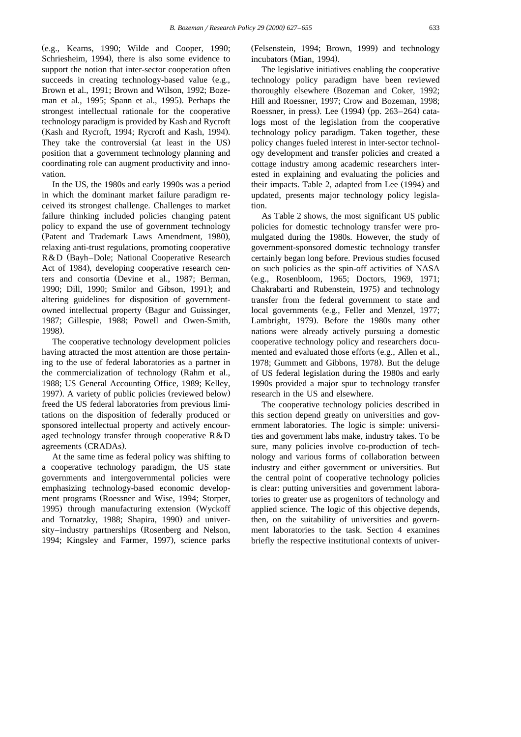Že.g., Kearns, 1990; Wilde and Cooper, 1990; Schriesheim, 1994), there is also some evidence to support the notion that inter-sector cooperation often succeeds in creating technology-based value (e.g., Brown et al., 1991; Brown and Wilson, 1992; Bozeman et al., 1995; Spann et al., 1995). Perhaps the strongest intellectual rationale for the cooperative technology paradigm is provided by Kash and Rycroft  $(Kash and Rycroft, 1994; Rycroft and Kash, 1994).$ They take the controversial (at least in the US) position that a government technology planning and coordinating role can augment productivity and innovation.

In the US, the 1980s and early 1990s was a period in which the dominant market failure paradigm received its strongest challenge. Challenges to market failure thinking included policies changing patent policy to expand the use of government technology (Patent and Trademark Laws Amendment, 1980), relaxing anti-trust regulations, promoting cooperative R&D (Bayh–Dole; National Cooperative Research Act of 1984), developing cooperative research centers and consortia (Devine et al., 1987; Berman, 1990; Dill, 1990; Smilor and Gibson, 1991); and altering guidelines for disposition of governmentowned intellectual property (Bagur and Guissinger, 1987; Gillespie, 1988; Powell and Owen-Smith, 1998).

The cooperative technology development policies having attracted the most attention are those pertaining to the use of federal laboratories as a partner in the commercialization of technology (Rahm et al., 1988; US General Accounting Office, 1989; Kelley, 1997). A variety of public policies (reviewed below) freed the US federal laboratories from previous limitations on the disposition of federally produced or sponsored intellectual property and actively encouraged technology transfer through cooperative R&D agreements (CRADAs).

At the same time as federal policy was shifting to a cooperative technology paradigm, the US state governments and intergovernmental policies were emphasizing technology-based economic development programs (Roessner and Wise, 1994; Storper, 1995) through manufacturing extension (Wyckoff and Tornatzky, 1988; Shapira, 1990) and university–industry partnerships (Rosenberg and Nelson, 1994; Kingsley and Farmer, 1997), science parks (Felsenstein, 1994; Brown, 1999) and technology incubators (Mian, 1994).

The legislative initiatives enabling the cooperative technology policy paradigm have been reviewed thoroughly elsewhere (Bozeman and Coker, 1992; Hill and Roessner, 1997; Crow and Bozeman, 1998; Roessner, in press). Lee (1994) (pp. 263–264) catalogs most of the legislation from the cooperative technology policy paradigm. Taken together, these policy changes fueled interest in inter-sector technology development and transfer policies and created a cottage industry among academic researchers interested in explaining and evaluating the policies and their impacts. Table 2, adapted from Lee  $(1994)$  and updated, presents major technology policy legislation.

As Table 2 shows, the most significant US public policies for domestic technology transfer were promulgated during the 1980s. However, the study of government-sponsored domestic technology transfer certainly began long before. Previous studies focused on such policies as the spin-off activities of NASA Že.g., Rosenbloom, 1965; Doctors, 1969, 1971; Chakrabarti and Rubenstein, 1975) and technology transfer from the federal government to state and local governments (e.g., Feller and Menzel, 1977; Lambright, 1979). Before the 1980s many other nations were already actively pursuing a domestic cooperative technology policy and researchers documented and evaluated those efforts (e.g., Allen et al., 1978; Gummett and Gibbons, 1978). But the deluge of US federal legislation during the 1980s and early 1990s provided a major spur to technology transfer research in the US and elsewhere.

The cooperative technology policies described in this section depend greatly on universities and government laboratories. The logic is simple: universities and government labs make, industry takes. To be sure, many policies involve co-production of technology and various forms of collaboration between industry and either government or universities. But the central point of cooperative technology policies is clear: putting universities and government laboratories to greater use as progenitors of technology and applied science. The logic of this objective depends, then, on the suitability of universities and government laboratories to the task. Section 4 examines briefly the respective institutional contexts of univer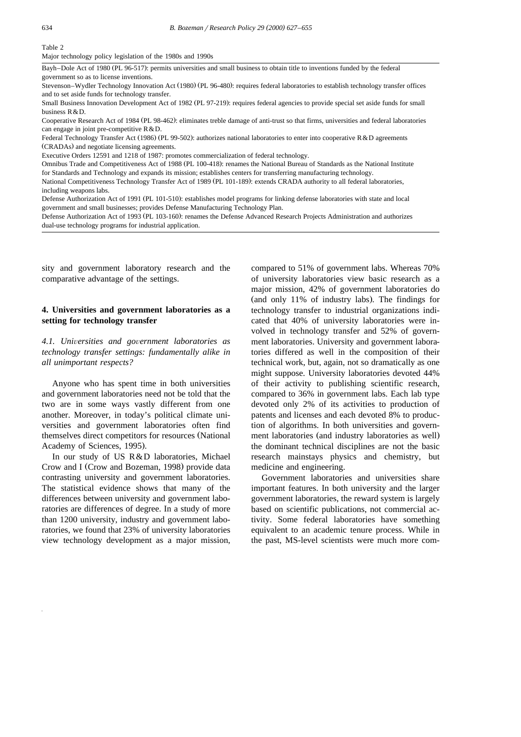Table 2

Major technology policy legislation of the 1980s and 1990s

Bayh–Dole Act of 1980 (PL 96-517): permits universities and small business to obtain title to inventions funded by the federal government so as to license inventions.

Stevenson–Wydler Technology Innovation Act (1980) (PL 96-480): requires federal laboratories to establish technology transfer offices and to set aside funds for technology transfer.

Small Business Innovation Development Act of 1982 (PL 97-219): requires federal agencies to provide special set aside funds for small business R&D.

Cooperative Research Act of 1984 (PL 98-462): eliminates treble damage of anti-trust so that firms, universities and federal laboratories can engage in joint pre-competitive R&D.

Federal Technology Transfer Act (1986) (PL 99-502): authorizes national laboratories to enter into cooperative R&D agreements (CRADAs) and negotiate licensing agreements.

Executive Orders 12591 and 1218 of 1987: promotes commercialization of federal technology.

Omnibus Trade and Competitiveness Act of 1988 (PL 100-418): renames the National Bureau of Standards as the National Institute for Standards and Technology and expands its mission; establishes centers for transferring manufacturing technology.

National Competitiveness Technology Transfer Act of 1989 (PL 101-189): extends CRADA authority to all federal laboratories, including weapons labs.

Defense Authorization Act of 1991 (PL 101-510): establishes model programs for linking defense laboratories with state and local government and small businesses; provides Defense Manufacturing Technology Plan.

Defense Authorization Act of 1993 (PL 103-160): renames the Defense Advanced Research Projects Administration and authorizes dual-use technology programs for industrial application.

sity and government laboratory research and the comparative advantage of the settings.

# **4. Universities and government laboratories as a setting for technology transfer**

*4.1. Uni*Õ*ersities and go*Õ*ernment laboratories as technology transfer settings: fundamentally alike in all unimportant respects?*

Anyone who has spent time in both universities and government laboratories need not be told that the two are in some ways vastly different from one another. Moreover, in today's political climate universities and government laboratories often find themselves direct competitors for resources (National Academy of Sciences, 1995).

In our study of US R&D laboratories, Michael Crow and I (Crow and Bozeman, 1998) provide data contrasting university and government laboratories. The statistical evidence shows that many of the differences between university and government laboratories are differences of degree. In a study of more than 1200 university, industry and government laboratories, we found that 23% of university laboratories view technology development as a major mission,

compared to 51% of government labs. Whereas 70% of university laboratories view basic research as a major mission, 42% of government laboratories do  $($ and only 11% of industry labs $).$  The findings for technology transfer to industrial organizations indicated that 40% of university laboratories were involved in technology transfer and 52% of government laboratories. University and government laboratories differed as well in the composition of their technical work, but, again, not so dramatically as one might suppose. University laboratories devoted 44% of their activity to publishing scientific research, compared to 36% in government labs. Each lab type devoted only 2% of its activities to production of patents and licenses and each devoted 8% to production of algorithms. In both universities and government laboratories (and industry laboratories as well) the dominant technical disciplines are not the basic research mainstays physics and chemistry, but medicine and engineering.

Government laboratories and universities share important features. In both university and the larger government laboratories, the reward system is largely based on scientific publications, not commercial activity. Some federal laboratories have something equivalent to an academic tenure process. While in the past, MS-level scientists were much more com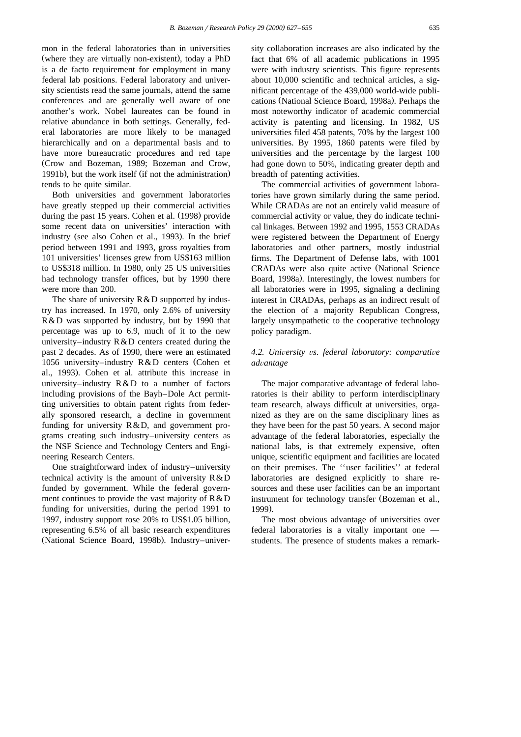mon in the federal laboratories than in universities (where they are virtually non-existent), today a PhD is a de facto requirement for employment in many federal lab positions. Federal laboratory and university scientists read the same journals, attend the same conferences and are generally well aware of one another's work. Nobel laureates can be found in relative abundance in both settings. Generally, federal laboratories are more likely to be managed hierarchically and on a departmental basis and to have more bureaucratic procedures and red tape ŽCrow and Bozeman, 1989; Bozeman and Crow, 1991b), but the work itself (if not the administration) tends to be quite similar.

Both universities and government laboratories have greatly stepped up their commercial activities during the past  $15$  years. Cohen et al.  $(1998)$  provide some recent data on universities' interaction with industry (see also Cohen et al., 1993). In the brief period between 1991 and 1993, gross royalties from 101 universities' licenses grew from US\$163 million to US\$318 million. In 1980, only 25 US universities had technology transfer offices, but by 1990 there were more than 200.

The share of university  $R & D$  supported by industry has increased. In 1970, only 2.6% of university R&D was supported by industry, but by 1990 that percentage was up to 6.9, much of it to the new university–industry  $R & D$  centers created during the past 2 decades. As of 1990, there were an estimated 1056 university–industry  $R&D$  centers (Cohen et al., 1993). Cohen et al. attribute this increase in university–industry R&D to a number of factors including provisions of the Bayh–Dole Act permitting universities to obtain patent rights from federally sponsored research, a decline in government funding for university R&D, and government programs creating such industry–university centers as the NSF Science and Technology Centers and Engineering Research Centers.

One straightforward index of industry–university technical activity is the amount of university  $R & D$ funded by government. While the federal government continues to provide the vast majority of  $R&D$ funding for universities, during the period 1991 to 1997, industry support rose 20% to US\$1.05 billion, representing 6.5% of all basic research expenditures (National Science Board, 1998b). Industry-univer-

sity collaboration increases are also indicated by the fact that 6% of all academic publications in 1995 were with industry scientists. This figure represents about 10,000 scientific and technical articles, a significant percentage of the 439,000 world-wide publications (National Science Board, 1998a). Perhaps the most noteworthy indicator of academic commercial activity is patenting and licensing. In 1982, US universities filed 458 patents, 70% by the largest 100 universities. By 1995, 1860 patents were filed by universities and the percentage by the largest 100 had gone down to 50%, indicating greater depth and breadth of patenting activities.

The commercial activities of government laboratories have grown similarly during the same period. While CRADAs are not an entirely valid measure of commercial activity or value, they do indicate technical linkages. Between 1992 and 1995, 1553 CRADAs were registered between the Department of Energy laboratories and other partners, mostly industrial firms. The Department of Defense labs, with 1001 CRADAs were also quite active (National Science Board, 1998a). Interestingly, the lowest numbers for all laboratories were in 1995, signaling a declining interest in CRADAs, perhaps as an indirect result of the election of a majority Republican Congress, largely unsympathetic to the cooperative technology policy paradigm.

# 4.2. University vs. federal laboratory: comparative *ad*Õ*antage*

The major comparative advantage of federal laboratories is their ability to perform interdisciplinary team research, always difficult at universities, organized as they are on the same disciplinary lines as they have been for the past 50 years. A second major advantage of the federal laboratories, especially the national labs, is that extremely expensive, often unique, scientific equipment and facilities are located on their premises. The ''user facilities'' at federal laboratories are designed explicitly to share resources and these user facilities can be an important instrument for technology transfer (Bozeman et al., 1999).

The most obvious advantage of universities over federal laboratories is a vitally important one students. The presence of students makes a remark-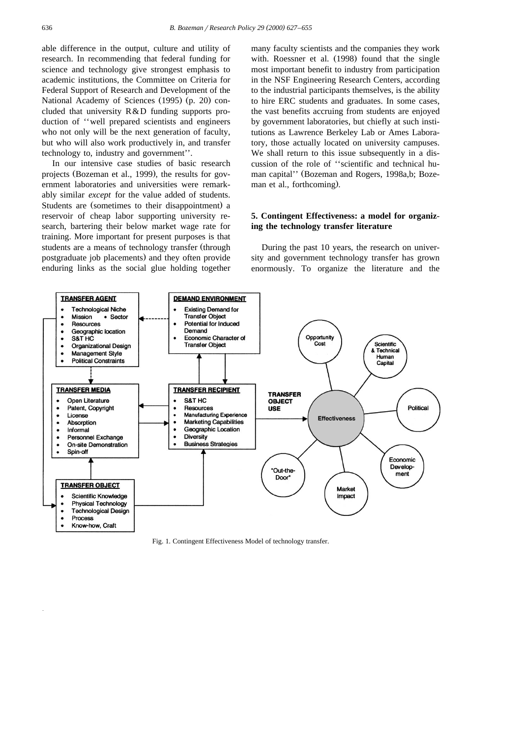able difference in the output, culture and utility of research. In recommending that federal funding for science and technology give strongest emphasis to academic institutions, the Committee on Criteria for Federal Support of Research and Development of the National Academy of Sciences (1995) (p. 20) concluded that university R&D funding supports production of ''well prepared scientists and engineers who not only will be the next generation of faculty, but who will also work productively in, and transfer technology to, industry and government''.

In our intensive case studies of basic research projects (Bozeman et al., 1999), the results for government laboratories and universities were remarkably similar *except* for the value added of students. Students are (sometimes to their disappointment) a reservoir of cheap labor supporting university research, bartering their below market wage rate for training. More important for present purposes is that students are a means of technology transfer (through postgraduate job placements) and they often provide enduring links as the social glue holding together many faculty scientists and the companies they work with. Roessner et al. (1998) found that the single most important benefit to industry from participation in the NSF Engineering Research Centers, according to the industrial participants themselves, is the ability to hire ERC students and graduates. In some cases, the vast benefits accruing from students are enjoyed by government laboratories, but chiefly at such institutions as Lawrence Berkeley Lab or Ames Laboratory, those actually located on university campuses. We shall return to this issue subsequently in a discussion of the role of ''scientific and technical human capital'' (Bozeman and Rogers, 1998a,b; Bozeman et al., forthcoming).

# **5. Contingent Effectiveness: a model for organizing the technology transfer literature**

During the past 10 years, the research on university and government technology transfer has grown enormously. To organize the literature and the



Fig. 1. Contingent Effectiveness Model of technology transfer.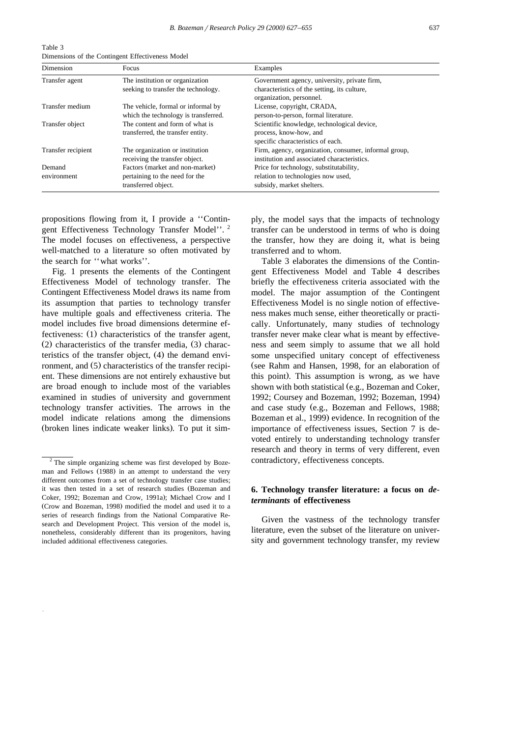| Dimension          | Focus                                | Examples                                                                 |
|--------------------|--------------------------------------|--------------------------------------------------------------------------|
| Transfer agent     | The institution or organization      | Government agency, university, private firm,                             |
|                    | seeking to transfer the technology.  | characteristics of the setting, its culture,<br>organization, personnel. |
| Transfer medium    | The vehicle, formal or informal by   | License, copyright, CRADA,                                               |
|                    | which the technology is transferred. | person-to-person, formal literature.                                     |
| Transfer object    | The content and form of what is      | Scientific knowledge, technological device,                              |
|                    | transferred, the transfer entity.    | process, know-how, and                                                   |
|                    |                                      | specific characteristics of each.                                        |
| Transfer recipient | The organization or institution      | Firm, agency, organization, consumer, informal group,                    |
|                    | receiving the transfer object.       | institution and associated characteristics.                              |
| Demand             | Factors (market and non-market)      | Price for technology, substitutability,                                  |
| environment        | pertaining to the need for the       | relation to technologies now used,                                       |
|                    | transferred object.                  | subsidy, market shelters.                                                |

Table 3 Dimensions of the Contingent Effectiveness Model

propositions flowing from it, I provide a ''Contingent Effectiveness Technology Transfer Model".<sup>2</sup> The model focuses on effectiveness, a perspective well-matched to a literature so often motivated by the search for ''what works''.

Fig. 1 presents the elements of the Contingent Effectiveness Model of technology transfer. The Contingent Effectiveness Model draws its name from its assumption that parties to technology transfer have multiple goals and effectiveness criteria. The model includes five broad dimensions determine effectiveness: (1) characteristics of the transfer agent,  $(2)$  characteristics of the transfer media,  $(3)$  characteristics of the transfer object,  $(4)$  the demand environment, and (5) characteristics of the transfer recipient. These dimensions are not entirely exhaustive but are broad enough to include most of the variables examined in studies of university and government technology transfer activities. The arrows in the model indicate relations among the dimensions (broken lines indicate weaker links). To put it sim-

ply, the model says that the impacts of technology transfer can be understood in terms of who is doing the transfer, how they are doing it, what is being transferred and to whom.

Table 3 elaborates the dimensions of the Contingent Effectiveness Model and Table 4 describes briefly the effectiveness criteria associated with the model. The major assumption of the Contingent Effectiveness Model is no single notion of effectiveness makes much sense, either theoretically or practically. Unfortunately, many studies of technology transfer never make clear what is meant by effectiveness and seem simply to assume that we all hold some unspecified unitary concept of effectiveness (see Rahm and Hansen, 1998, for an elaboration of this point). This assumption is wrong, as we have shown with both statistical (e.g., Bozeman and Coker, 1992; Coursey and Bozeman, 1992; Bozeman, 1994. and case study (e.g., Bozeman and Fellows, 1988; Bozeman et al., 1999) evidence. In recognition of the importance of effectiveness issues, Section 7 is devoted entirely to understanding technology transfer research and theory in terms of very different, even contradictory, effectiveness concepts.

# **6. Technology transfer literature: a focus on** *determinants* **of effectiveness**

Given the vastness of the technology transfer literature, even the subset of the literature on university and government technology transfer, my review

<sup>&</sup>lt;sup>2</sup> The simple organizing scheme was first developed by Bozeman and Fellows (1988) in an attempt to understand the very different outcomes from a set of technology transfer case studies; it was then tested in a set of research studies (Bozeman and Coker, 1992; Bozeman and Crow, 1991a); Michael Crow and I (Crow and Bozeman, 1998) modified the model and used it to a series of research findings from the National Comparative Research and Development Project. This version of the model is, nonetheless, considerably different than its progenitors, having included additional effectiveness categories.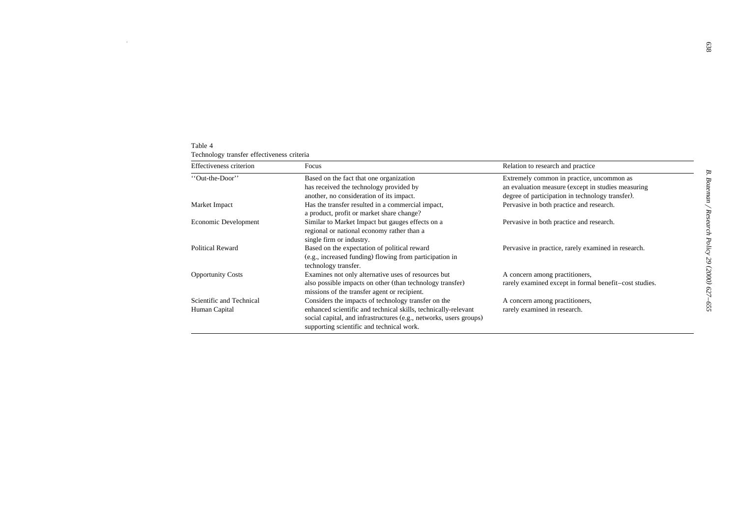|                                                       |                                                                                                                                                                                                                                          |                                                                                                                                                     | 838                                            |
|-------------------------------------------------------|------------------------------------------------------------------------------------------------------------------------------------------------------------------------------------------------------------------------------------------|-----------------------------------------------------------------------------------------------------------------------------------------------------|------------------------------------------------|
|                                                       |                                                                                                                                                                                                                                          |                                                                                                                                                     |                                                |
| Table 4<br>Technology transfer effectiveness criteria |                                                                                                                                                                                                                                          |                                                                                                                                                     |                                                |
| <b>Effectiveness</b> criterion                        | Focus                                                                                                                                                                                                                                    | Relation to research and practice                                                                                                                   |                                                |
| "Out-the-Door"                                        | Based on the fact that one organization<br>has received the technology provided by<br>another, no consideration of its impact.                                                                                                           | Extremely common in practice, uncommon as<br>an evaluation measure (except in studies measuring<br>degree of participation in technology transfer). |                                                |
| Market Impact                                         | Has the transfer resulted in a commercial impact,<br>a product, profit or market share change?                                                                                                                                           | Pervasive in both practice and research.                                                                                                            |                                                |
| Economic Development                                  | Similar to Market Impact but gauges effects on a<br>regional or national economy rather than a<br>single firm or industry.                                                                                                               | Pervasive in both practice and research.                                                                                                            | B. Bozeman / Research Policy 29 (2000) 627-655 |
| <b>Political Reward</b>                               | Based on the expectation of political reward<br>(e.g., increased funding) flowing from participation in<br>technology transfer.                                                                                                          | Pervasive in practice, rarely examined in research.                                                                                                 |                                                |
| <b>Opportunity Costs</b>                              | Examines not only alternative uses of resources but<br>also possible impacts on other (than technology transfer)<br>missions of the transfer agent or recipient.                                                                         | A concern among practitioners,<br>rarely examined except in formal benefit-cost studies.                                                            |                                                |
| Scientific and Technical<br>Human Capital             | Considers the impacts of technology transfer on the<br>enhanced scientific and technical skills, technically-relevant<br>social capital, and infrastructures (e.g., networks, users groups)<br>supporting scientific and technical work. | A concern among practitioners,<br>rarely examined in research.                                                                                      |                                                |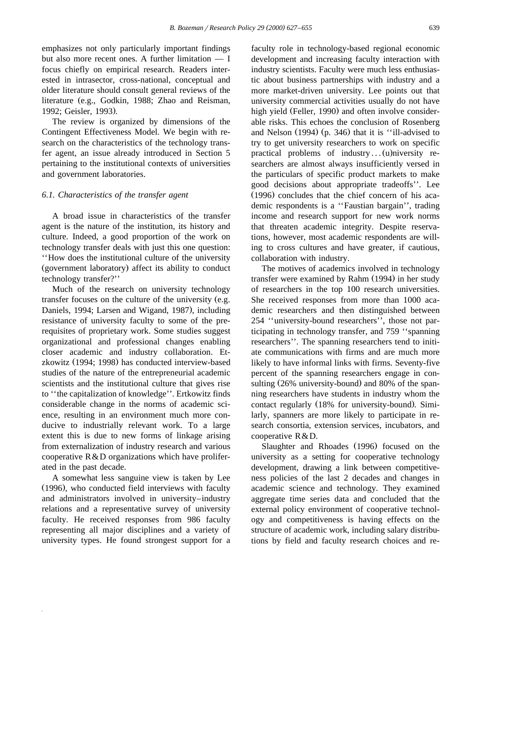emphasizes not only particularly important findings but also more recent ones. A further limitation — I focus chiefly on empirical research. Readers interested in intrasector, cross-national, conceptual and older literature should consult general reviews of the literature (e.g., Godkin, 1988; Zhao and Reisman, 1992; Geisler, 1993).

The review is organized by dimensions of the Contingent Effectiveness Model. We begin with research on the characteristics of the technology transfer agent, an issue already introduced in Section 5 pertaining to the institutional contexts of universities and government laboratories.

## *6.1. Characteristics of the transfer agent*

A broad issue in characteristics of the transfer agent is the nature of the institution, its history and culture. Indeed, a good proportion of the work on technology transfer deals with just this one question: ''How does the institutional culture of the university (government laboratory) affect its ability to conduct technology transfer?''

Much of the research on university technology transfer focuses on the culture of the university (e.g. Daniels, 1994; Larsen and Wigand, 1987), including resistance of university faculty to some of the prerequisites of proprietary work. Some studies suggest organizational and professional changes enabling closer academic and industry collaboration. Etzkowitz (1994; 1998) has conducted interview-based studies of the nature of the entrepreneurial academic scientists and the institutional culture that gives rise to ''the capitalization of knowledge''. Ertkowitz finds considerable change in the norms of academic science, resulting in an environment much more conducive to industrially relevant work. To a large extent this is due to new forms of linkage arising from externalization of industry research and various cooperative  $R & D$  organizations which have proliferated in the past decade.

A somewhat less sanguine view is taken by Lee  $(1996)$ , who conducted field interviews with faculty and administrators involved in university–industry relations and a representative survey of university faculty. He received responses from 986 faculty representing all major disciplines and a variety of university types. He found strongest support for a

faculty role in technology-based regional economic development and increasing faculty interaction with industry scientists. Faculty were much less enthusiastic about business partnerships with industry and a more market-driven university. Lee points out that university commercial activities usually do not have high yield (Feller, 1990) and often involve considerable risks. This echoes the conclusion of Rosenberg and Nelson  $(1994)$  (p. 346) that it is "ill-advised to try to get university researchers to work on specific practical problems of industry... $(u)$  niversity researchers are almost always insufficiently versed in the particulars of specific product markets to make good decisions about appropriate tradeoffs''. Lee  $(1996)$  concludes that the chief concern of his academic respondents is a ''Faustian bargain'', trading income and research support for new work norms that threaten academic integrity. Despite reservations, however, most academic respondents are willing to cross cultures and have greater, if cautious, collaboration with industry.

The motives of academics involved in technology transfer were examined by Rahm (1994) in her study of researchers in the top 100 research universities. She received responses from more than 1000 academic researchers and then distinguished between 254 ''university-bound researchers'', those not participating in technology transfer, and 759 ''spanning researchers''. The spanning researchers tend to initiate communications with firms and are much more likely to have informal links with firms. Seventy-five percent of the spanning researchers engage in consulting  $(26\%$  university-bound) and 80% of the spanning researchers have students in industry whom the contact regularly (18% for university-bound). Similarly, spanners are more likely to participate in research consortia, extension services, incubators, and cooperative R&D.

Slaughter and Rhoades (1996) focused on the university as a setting for cooperative technology development, drawing a link between competitiveness policies of the last 2 decades and changes in academic science and technology. They examined aggregate time series data and concluded that the external policy environment of cooperative technology and competitiveness is having effects on the structure of academic work, including salary distributions by field and faculty research choices and re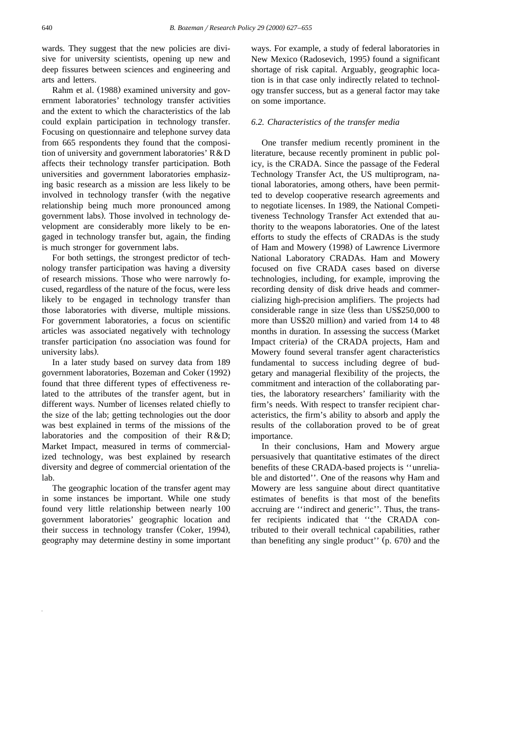wards. They suggest that the new policies are divisive for university scientists, opening up new and deep fissures between sciences and engineering and arts and letters.

Rahm et al. (1988) examined university and government laboratories' technology transfer activities and the extent to which the characteristics of the lab could explain participation in technology transfer. Focusing on questionnaire and telephone survey data from 665 respondents they found that the composition of university and government laboratories' R&D affects their technology transfer participation. Both universities and government laboratories emphasizing basic research as a mission are less likely to be involved in technology transfer (with the negative relationship being much more pronounced among government labs). Those involved in technology development are considerably more likely to be engaged in technology transfer but, again, the finding is much stronger for government labs.

For both settings, the strongest predictor of technology transfer participation was having a diversity of research missions. Those who were narrowly focused, regardless of the nature of the focus, were less likely to be engaged in technology transfer than those laboratories with diverse, multiple missions. For government laboratories, a focus on scientific articles was associated negatively with technology transfer participation (no association was found for university labs).

In a later study based on survey data from 189 government laboratories, Bozeman and Coker (1992). found that three different types of effectiveness related to the attributes of the transfer agent, but in different ways. Number of licenses related chiefly to the size of the lab; getting technologies out the door was best explained in terms of the missions of the laboratories and the composition of their R&D; Market Impact, measured in terms of commercialized technology, was best explained by research diversity and degree of commercial orientation of the lab.

The geographic location of the transfer agent may in some instances be important. While one study found very little relationship between nearly 100 government laboratories' geographic location and their success in technology transfer (Coker, 1994), geography may determine destiny in some important

ways. For example, a study of federal laboratories in New Mexico (Radosevich, 1995) found a significant shortage of risk capital. Arguably, geographic location is in that case only indirectly related to technology transfer success, but as a general factor may take on some importance.

#### *6.2. Characteristics of the transfer media*

One transfer medium recently prominent in the literature, because recently prominent in public policy, is the CRADA. Since the passage of the Federal Technology Transfer Act, the US multiprogram, national laboratories, among others, have been permitted to develop cooperative research agreements and to negotiate licenses. In 1989, the National Competitiveness Technology Transfer Act extended that authority to the weapons laboratories. One of the latest efforts to study the effects of CRADAs is the study of Ham and Mowery (1998) of Lawrence Livermore National Laboratory CRADAs. Ham and Mowery focused on five CRADA cases based on diverse technologies, including, for example, improving the recording density of disk drive heads and commercializing high-precision amplifiers. The projects had considerable range in size (less than US\$250,000 to more than US\$20 million) and varied from 14 to 48 months in duration. In assessing the success (Market Impact criteria) of the CRADA projects, Ham and Mowery found several transfer agent characteristics fundamental to success including degree of budgetary and managerial flexibility of the projects, the commitment and interaction of the collaborating parties, the laboratory researchers' familiarity with the firm's needs. With respect to transfer recipient characteristics, the firm's ability to absorb and apply the results of the collaboration proved to be of great importance.

In their conclusions, Ham and Mowery argue persuasively that quantitative estimates of the direct benefits of these CRADA-based projects is ''unreliable and distorted''. One of the reasons why Ham and Mowery are less sanguine about direct quantitative estimates of benefits is that most of the benefits accruing are ''indirect and generic''. Thus, the transfer recipients indicated that ''the CRADA contributed to their overall technical capabilities, rather than benefiting any single product"  $(p. 670)$  and the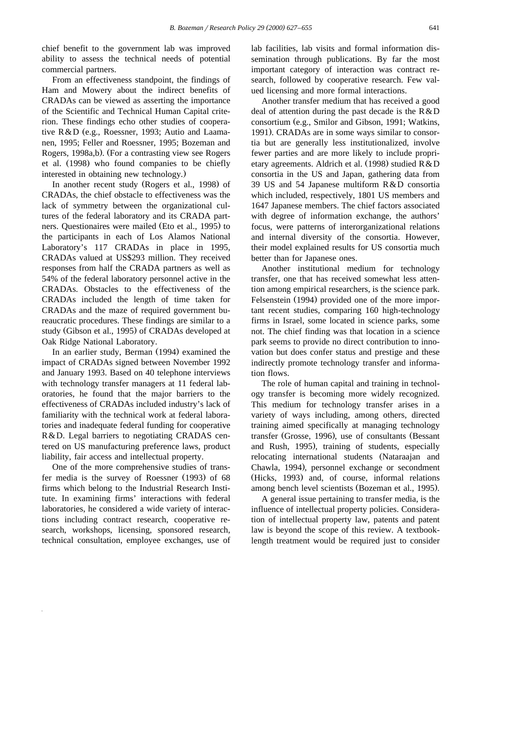chief benefit to the government lab was improved ability to assess the technical needs of potential commercial partners.

From an effectiveness standpoint, the findings of Ham and Mowery about the indirect benefits of CRADAs can be viewed as asserting the importance of the Scientific and Technical Human Capital criterion. These findings echo other studies of cooperative  $R&D$  (e.g., Roessner, 1993; Autio and Laamanen, 1995; Feller and Roessner, 1995; Bozeman and Rogers, 1998a,b). (For a contrasting view see Rogers et al. (1998) who found companies to be chiefly interested in obtaining new technology..

In another recent study (Rogers et al., 1998) of CRADAs, the chief obstacle to effectiveness was the lack of symmetry between the organizational cultures of the federal laboratory and its CRADA partners. Questionaires were mailed (Eto et al., 1995) to the participants in each of Los Alamos National Laboratory's 117 CRADAs in place in 1995, CRADAs valued at US\$293 million. They received responses from half the CRADA partners as well as 54% of the federal laboratory personnel active in the CRADAs. Obstacles to the effectiveness of the CRADAs included the length of time taken for CRADAs and the maze of required government bureaucratic procedures. These findings are similar to a study (Gibson et al., 1995) of CRADAs developed at Oak Ridge National Laboratory.

In an earlier study, Berman (1994) examined the impact of CRADAs signed between November 1992 and January 1993. Based on 40 telephone interviews with technology transfer managers at 11 federal laboratories, he found that the major barriers to the effectiveness of CRADAs included industry's lack of familiarity with the technical work at federal laboratories and inadequate federal funding for cooperative R&D. Legal barriers to negotiating CRADAS centered on US manufacturing preference laws, product liability, fair access and intellectual property.

One of the more comprehensive studies of transfer media is the survey of Roessner  $(1993)$  of 68 firms which belong to the Industrial Research Institute. In examining firms' interactions with federal laboratories, he considered a wide variety of interactions including contract research, cooperative research, workshops, licensing, sponsored research, technical consultation, employee exchanges, use of lab facilities, lab visits and formal information dissemination through publications. By far the most important category of interaction was contract research, followed by cooperative research. Few valued licensing and more formal interactions.

Another transfer medium that has received a good deal of attention during the past decade is the  $R&D$ consortium (e.g., Smilor and Gibson, 1991; Watkins, 1991). CRADAs are in some ways similar to consortia but are generally less institutionalized, involve fewer parties and are more likely to include proprietary agreements. Aldrich et al.  $(1998)$  studied  $R & D$ consortia in the US and Japan, gathering data from 39 US and 54 Japanese multiform R&D consortia which included, respectively, 1801 US members and 1647 Japanese members. The chief factors associated with degree of information exchange, the authors' focus, were patterns of interorganizational relations and internal diversity of the consortia. However, their model explained results for US consortia much better than for Japanese ones.

Another institutional medium for technology transfer, one that has received somewhat less attention among empirical researchers, is the science park. Felsenstein (1994) provided one of the more important recent studies, comparing 160 high-technology firms in Israel, some located in science parks, some not. The chief finding was that location in a science park seems to provide no direct contribution to innovation but does confer status and prestige and these indirectly promote technology transfer and information flows.

The role of human capital and training in technology transfer is becoming more widely recognized. This medium for technology transfer arises in a variety of ways including, among others, directed training aimed specifically at managing technology transfer (Grosse, 1996), use of consultants (Bessant and Rush, 1995), training of students, especially relocating international students (Nataraajan and Chawla, 1994), personnel exchange or secondment (Hicks, 1993) and, of course, informal relations among bench level scientists (Bozeman et al., 1995).

A general issue pertaining to transfer media, is the influence of intellectual property policies. Consideration of intellectual property law, patents and patent law is beyond the scope of this review. A textbooklength treatment would be required just to consider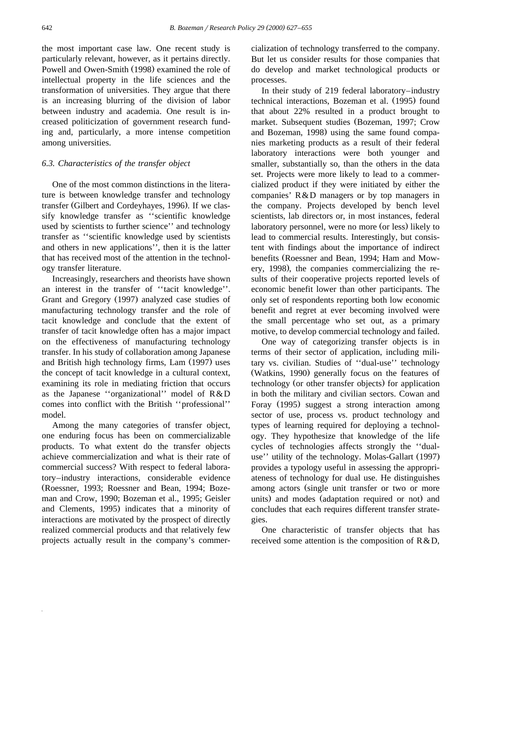the most important case law. One recent study is particularly relevant, however, as it pertains directly. Powell and Owen-Smith (1998) examined the role of intellectual property in the life sciences and the transformation of universities. They argue that there is an increasing blurring of the division of labor between industry and academia. One result is increased politicization of government research funding and, particularly, a more intense competition among universities.

## *6.3. Characteristics of the transfer object*

One of the most common distinctions in the literature is between knowledge transfer and technology transfer (Gilbert and Cordeyhayes, 1996). If we classify knowledge transfer as ''scientific knowledge used by scientists to further science'' and technology transfer as ''scientific knowledge used by scientists and others in new applications'', then it is the latter that has received most of the attention in the technology transfer literature.

Increasingly, researchers and theorists have shown an interest in the transfer of ''tacit knowledge''. Grant and Gregory (1997) analyzed case studies of manufacturing technology transfer and the role of tacit knowledge and conclude that the extent of transfer of tacit knowledge often has a major impact on the effectiveness of manufacturing technology transfer. In his study of collaboration among Japanese and British high technology firms, Lam (1997) uses the concept of tacit knowledge in a cultural context, examining its role in mediating friction that occurs as the Japanese ''organizational'' model of R&D comes into conflict with the British ''professional'' model.

Among the many categories of transfer object, one enduring focus has been on commercializable products. To what extent do the transfer objects achieve commercialization and what is their rate of commercial success? With respect to federal laboratory–industry interactions, considerable evidence (Roessner, 1993; Roessner and Bean, 1994; Bozeman and Crow, 1990; Bozeman et al., 1995; Geisler and Clements, 1995) indicates that a minority of interactions are motivated by the prospect of directly realized commercial products and that relatively few projects actually result in the company's commercialization of technology transferred to the company. But let us consider results for those companies that do develop and market technological products or processes.

In their study of 219 federal laboratory–industry technical interactions, Bozeman et al. (1995) found that about 22% resulted in a product brought to market. Subsequent studies (Bozeman, 1997; Crow and Bozeman, 1998) using the same found companies marketing products as a result of their federal laboratory interactions were both younger and smaller, substantially so, than the others in the data set. Projects were more likely to lead to a commercialized product if they were initiated by either the companies' R&D managers or by top managers in the company. Projects developed by bench level scientists, lab directors or, in most instances, federal laboratory personnel, were no more (or less) likely to lead to commercial results. Interestingly, but consistent with findings about the importance of indirect benefits (Roessner and Bean, 1994; Ham and Mowery, 1998), the companies commercializing the results of their cooperative projects reported levels of economic benefit lower than other participants. The only set of respondents reporting both low economic benefit and regret at ever becoming involved were the small percentage who set out, as a primary motive, to develop commercial technology and failed.

One way of categorizing transfer objects is in terms of their sector of application, including military vs. civilian. Studies of ''dual-use'' technology (Watkins, 1990) generally focus on the features of technology (or other transfer objects) for application in both the military and civilian sectors. Cowan and Foray (1995) suggest a strong interaction among sector of use, process vs. product technology and types of learning required for deploying a technology. They hypothesize that knowledge of the life cycles of technologies affects strongly the ''dualuse" utility of the technology. Molas-Gallart (1997) provides a typology useful in assessing the appropriateness of technology for dual use. He distinguishes among actors (single unit transfer or two or more units) and modes (adaptation required or not) and concludes that each requires different transfer strategies.

One characteristic of transfer objects that has received some attention is the composition of  $R & D$ ,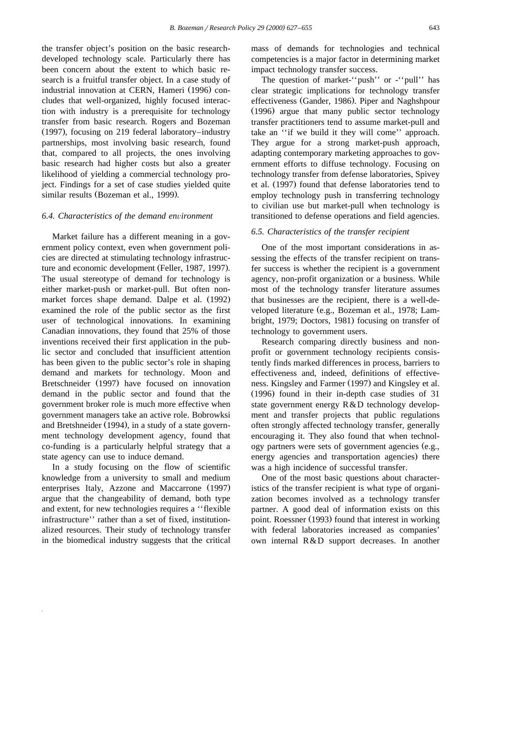the transfer object's position on the basic researchdeveloped technology scale. Particularly there has been concern about the extent to which basic research is a fruitful transfer object. In a case study of industrial innovation at CERN, Hameri (1996) concludes that well-organized, highly focused interaction with industry is a prerequisite for technology transfer from basic research. Rogers and Bozeman  $(1997)$ , focusing on 219 federal laboratory–industry partnerships, most involving basic research, found that, compared to all projects, the ones involving basic research had higher costs but also a greater likelihood of yielding a commercial technology project. Findings for a set of case studies yielded quite similar results (Bozeman et al., 1999).

#### *6.4. Characteristics of the demand en*Õ*ironment*

Market failure has a different meaning in a government policy context, even when government policies are directed at stimulating technology infrastructure and economic development (Feller, 1987, 1997). The usual stereotype of demand for technology is either market-push or market-pull. But often nonmarket forces shape demand. Dalpe et al. (1992) examined the role of the public sector as the first user of technological innovations. In examining Canadian innovations, they found that 25% of those inventions received their first application in the public sector and concluded that insufficient attention has been given to the public sector's role in shaping demand and markets for technology. Moon and Bretschneider (1997) have focused on innovation demand in the public sector and found that the government broker role is much more effective when government managers take an active role. Bobrowksi and Bretshneider  $(1994)$ , in a study of a state government technology development agency, found that co-funding is a particularly helpful strategy that a state agency can use to induce demand.

In a study focusing on the flow of scientific knowledge from a university to small and medium enterprises Italy, Azzone and Maccarrone (1997) argue that the changeability of demand, both type and extent, for new technologies requires a ''flexible infrastructure'' rather than a set of fixed, institutionalized resources. Their study of technology transfer in the biomedical industry suggests that the critical mass of demands for technologies and technical competencies is a major factor in determining market impact technology transfer success.

The question of market-''push'' or -''pull'' has clear strategic implications for technology transfer effectiveness (Gander, 1986). Piper and Naghshpour (1996) argue that many public sector technology transfer practitioners tend to assume market-pull and take an ''if we build it they will come'' approach. They argue for a strong market-push approach, adapting contemporary marketing approaches to government efforts to diffuse technology. Focusing on technology transfer from defense laboratories, Spivey et al. (1997) found that defense laboratories tend to employ technology push in transferring technology to civilian use but market-pull when technology is transitioned to defense operations and field agencies.

# *6.5. Characteristics of the transfer recipient*

One of the most important considerations in assessing the effects of the transfer recipient on transfer success is whether the recipient is a government agency, non-profit organization or a business. While most of the technology transfer literature assumes that businesses are the recipient, there is a well-developed literature (e.g., Bozeman et al., 1978; Lambright, 1979; Doctors, 1981) focusing on transfer of technology to government users.

Research comparing directly business and nonprofit or government technology recipients consistently finds marked differences in process, barriers to effectiveness and, indeed, definitions of effectiveness. Kingsley and Farmer (1997) and Kingsley et al.  $(1996)$  found in their in-depth case studies of 31 state government energy R&D technology development and transfer projects that public regulations often strongly affected technology transfer, generally encouraging it. They also found that when technology partners were sets of government agencies (e.g., energy agencies and transportation agencies) there was a high incidence of successful transfer.

One of the most basic questions about characteristics of the transfer recipient is what type of organization becomes involved as a technology transfer partner. A good deal of information exists on this point. Roessner (1993) found that interest in working with federal laboratories increased as companies' own internal R&D support decreases. In another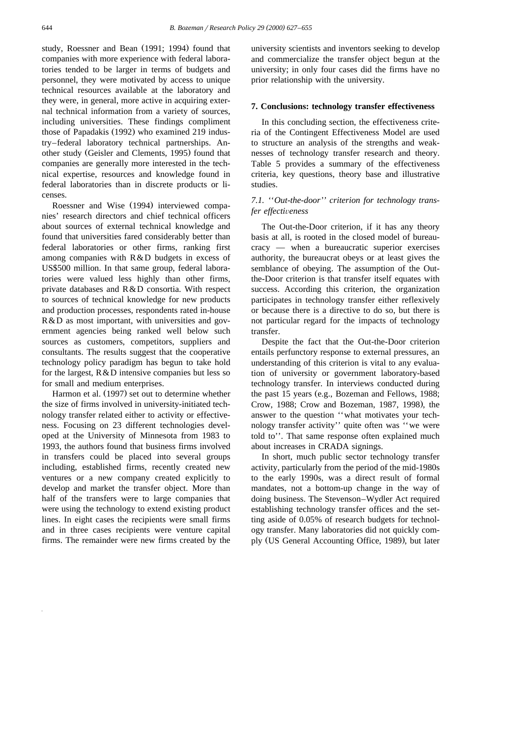study, Roessner and Bean (1991; 1994) found that companies with more experience with federal laboratories tended to be larger in terms of budgets and personnel, they were motivated by access to unique technical resources available at the laboratory and they were, in general, more active in acquiring external technical information from a variety of sources, including universities. These findings compliment those of Papadakis (1992) who examined 219 industry–federal laboratory technical partnerships. Another study (Geisler and Clements, 1995) found that companies are generally more interested in the technical expertise, resources and knowledge found in federal laboratories than in discrete products or licenses.

Roessner and Wise (1994) interviewed companies' research directors and chief technical officers about sources of external technical knowledge and found that universities fared considerably better than federal laboratories or other firms, ranking first among companies with R&D budgets in excess of US\$500 million. In that same group, federal laboratories were valued less highly than other firms, private databases and R&D consortia. With respect to sources of technical knowledge for new products and production processes, respondents rated in-house R&D as most important, with universities and government agencies being ranked well below such sources as customers, competitors, suppliers and consultants. The results suggest that the cooperative technology policy paradigm has begun to take hold for the largest, R&D intensive companies but less so for small and medium enterprises.

Harmon et al.  $(1997)$  set out to determine whether the size of firms involved in university-initiated technology transfer related either to activity or effectiveness. Focusing on 23 different technologies developed at the University of Minnesota from 1983 to 1993, the authors found that business firms involved in transfers could be placed into several groups including, established firms, recently created new ventures or a new company created explicitly to develop and market the transfer object. More than half of the transfers were to large companies that were using the technology to extend existing product lines. In eight cases the recipients were small firms and in three cases recipients were venture capital firms. The remainder were new firms created by the university scientists and inventors seeking to develop and commercialize the transfer object begun at the university; in only four cases did the firms have no prior relationship with the university.

#### **7. Conclusions: technology transfer effectiveness**

In this concluding section, the effectiveness criteria of the Contingent Effectiveness Model are used to structure an analysis of the strengths and weaknesses of technology transfer research and theory. Table 5 provides a summary of the effectiveness criteria, key questions, theory base and illustrative studies.

## *7.1. ''Out-the-door'' criterion for technology transfer effecti*Õ*eness*

The Out-the-Door criterion, if it has any theory basis at all, is rooted in the closed model of bureaucracy — when a bureaucratic superior exercises authority, the bureaucrat obeys or at least gives the semblance of obeying. The assumption of the Outthe-Door criterion is that transfer itself equates with success. According this criterion, the organization participates in technology transfer either reflexively or because there is a directive to do so, but there is not particular regard for the impacts of technology transfer.

Despite the fact that the Out-the-Door criterion entails perfunctory response to external pressures, an understanding of this criterion is vital to any evaluation of university or government laboratory-based technology transfer. In interviews conducted during the past 15 years (e.g., Bozeman and Fellows, 1988; Crow, 1988; Crow and Bozeman, 1987, 1998), the answer to the question ''what motivates your technology transfer activity'' quite often was ''we were told to''. That same response often explained much about increases in CRADA signings.

In short, much public sector technology transfer activity, particularly from the period of the mid-1980s to the early 1990s, was a direct result of formal mandates, not a bottom-up change in the way of doing business. The Stevenson–Wydler Act required establishing technology transfer offices and the setting aside of 0.05% of research budgets for technology transfer. Many laboratories did not quickly comply (US General Accounting Office, 1989), but later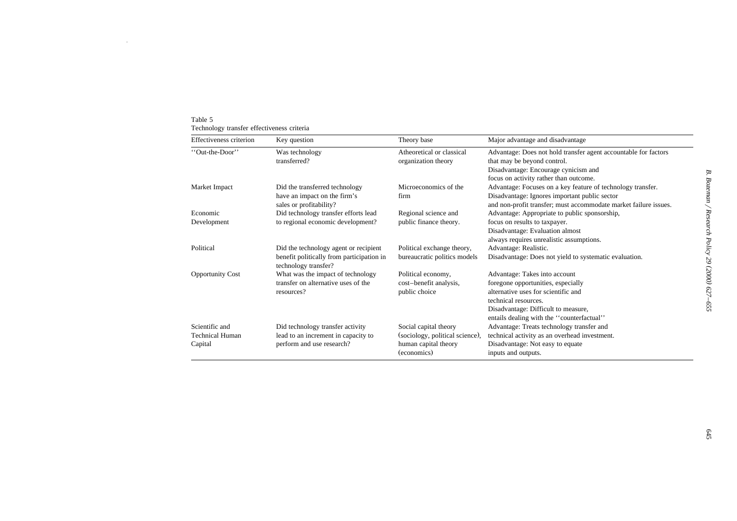| ļ                |
|------------------|
| しくく              |
| TERM UP OFF<br>j |
| ١                |
| I<br>᠈<br>ï      |
| しくく              |
| í<br>١<br>ì      |

Table 5 Technology transfer effectiveness criteria

| Effectiveness criterion | Key question                                                      | Theory base                     | Major advantage and disadvantage                                 |
|-------------------------|-------------------------------------------------------------------|---------------------------------|------------------------------------------------------------------|
| "Out-the-Door"          | Was technology                                                    | Atheoretical or classical       | Advantage: Does not hold transfer agent accountable for factors  |
|                         | transferred?                                                      | organization theory             | that may be beyond control.                                      |
|                         |                                                                   |                                 | Disadvantage: Encourage cynicism and                             |
|                         |                                                                   |                                 | focus on activity rather than outcome.                           |
| Market Impact           | Did the transferred technology                                    | Microeconomics of the           | Advantage: Focuses on a key feature of technology transfer.      |
|                         | have an impact on the firm's                                      | firm                            | Disadvantage: Ignores important public sector                    |
|                         | sales or profitability?                                           |                                 | and non-profit transfer; must accommodate market failure issues. |
| Economic                | Did technology transfer efforts lead                              | Regional science and            | Advantage: Appropriate to public sponsorship,                    |
| Development             | to regional economic development?                                 | public finance theory.          | focus on results to taxpayer.                                    |
|                         |                                                                   |                                 | Disadvantage: Evaluation almost                                  |
|                         |                                                                   |                                 | always requires unrealistic assumptions.                         |
| Political               | Did the technology agent or recipient                             | Political exchange theory,      | Advantage: Realistic.                                            |
|                         | benefit politically from participation in<br>technology transfer? | bureaucratic politics models    | Disadvantage: Does not yield to systematic evaluation.           |
| <b>Opportunity Cost</b> | What was the impact of technology                                 | Political economy,              | Advantage: Takes into account                                    |
|                         | transfer on alternative uses of the                               | cost-benefit analysis,          | foregone opportunities, especially                               |
|                         | resources?                                                        | public choice                   | alternative uses for scientific and                              |
|                         |                                                                   |                                 | technical resources.                                             |
|                         |                                                                   |                                 | Disadvantage: Difficult to measure,                              |
|                         |                                                                   |                                 | entails dealing with the "counterfactual"                        |
| Scientific and          | Did technology transfer activity                                  | Social capital theory           | Advantage: Treats technology transfer and                        |
| <b>Technical Human</b>  | lead to an increment in capacity to                               | (sociology, political science), | technical activity as an overhead investment.                    |
| Capital                 | perform and use research?                                         | human capital theory            | Disadvantage: Not easy to equate                                 |
|                         |                                                                   | (economics)                     | inputs and outputs.                                              |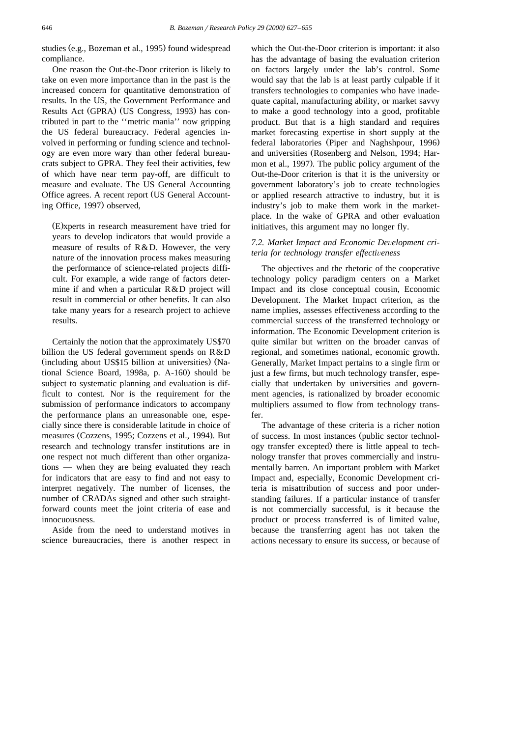studies (e.g., Bozeman et al., 1995) found widespread compliance.

One reason the Out-the-Door criterion is likely to take on even more importance than in the past is the increased concern for quantitative demonstration of results. In the US, the Government Performance and Results Act (GPRA) (US Congress, 1993) has contributed in part to the ''metric mania'' now gripping the US federal bureaucracy. Federal agencies involved in performing or funding science and technology are even more wary than other federal bureaucrats subject to GPRA. They feel their activities, few of which have near term pay-off, are difficult to measure and evaluate. The US General Accounting Office agrees. A recent report (US General Accounting Office, 1997) observed,

(E) xperts in research measurement have tried for years to develop indicators that would provide a measure of results of R&D. However, the very nature of the innovation process makes measuring the performance of science-related projects difficult. For example, a wide range of factors determine if and when a particular R&D project will result in commercial or other benefits. It can also take many years for a research project to achieve results.

Certainly the notion that the approximately US\$70 billion the US federal government spends on R&D (including about US\$15 billion at universities) (National Science Board, 1998a, p. A-160) should be subject to systematic planning and evaluation is difficult to contest. Nor is the requirement for the submission of performance indicators to accompany the performance plans an unreasonable one, especially since there is considerable latitude in choice of measures (Cozzens, 1995; Cozzens et al., 1994). But research and technology transfer institutions are in one respect not much different than other organizations — when they are being evaluated they reach for indicators that are easy to find and not easy to interpret negatively. The number of licenses, the number of CRADAs signed and other such straightforward counts meet the joint criteria of ease and innocuousness.

Aside from the need to understand motives in science bureaucracies, there is another respect in

which the Out-the-Door criterion is important: it also has the advantage of basing the evaluation criterion on factors largely under the lab's control. Some would say that the lab is at least partly culpable if it transfers technologies to companies who have inadequate capital, manufacturing ability, or market savvy to make a good technology into a good, profitable product. But that is a high standard and requires market forecasting expertise in short supply at the federal laboratories (Piper and Naghshpour, 1996) and universities (Rosenberg and Nelson, 1994; Harmon et al., 1997). The public policy argument of the Out-the-Door criterion is that it is the university or government laboratory's job to create technologies or applied research attractive to industry, but it is industry's job to make them work in the marketplace. In the wake of GPRA and other evaluation initiatives, this argument may no longer fly.

# 7.2. Market Impact and Economic Development cri*teria for technology transfer effectiveness*

The objectives and the rhetoric of the cooperative technology policy paradigm centers on a Market Impact and its close conceptual cousin, Economic Development. The Market Impact criterion, as the name implies, assesses effectiveness according to the commercial success of the transferred technology or information. The Economic Development criterion is quite similar but written on the broader canvas of regional, and sometimes national, economic growth. Generally, Market Impact pertains to a single firm or just a few firms, but much technology transfer, especially that undertaken by universities and government agencies, is rationalized by broader economic multipliers assumed to flow from technology transfer.

The advantage of these criteria is a richer notion of success. In most instances (public sector technology transfer excepted) there is little appeal to technology transfer that proves commercially and instrumentally barren. An important problem with Market Impact and, especially, Economic Development criteria is misattribution of success and poor understanding failures. If a particular instance of transfer is not commercially successful, is it because the product or process transferred is of limited value, because the transferring agent has not taken the actions necessary to ensure its success, or because of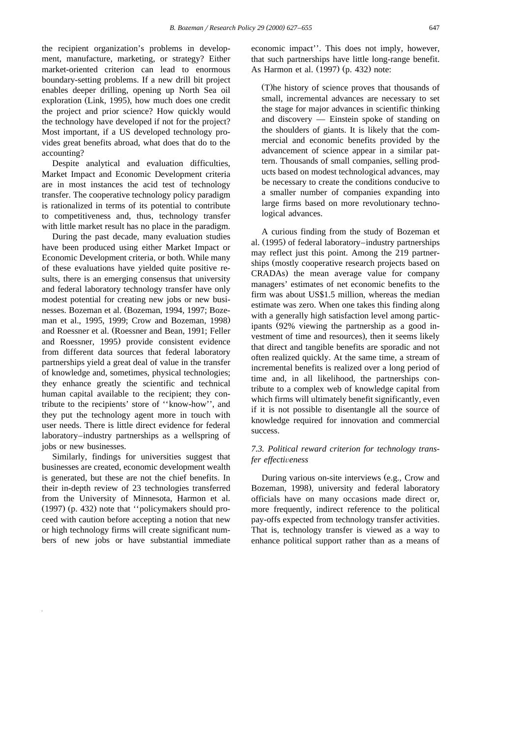the recipient organization's problems in development, manufacture, marketing, or strategy? Either market-oriented criterion can lead to enormous boundary-setting problems. If a new drill bit project enables deeper drilling, opening up North Sea oil exploration (Link, 1995), how much does one credit the project and prior science? How quickly would the technology have developed if not for the project? Most important, if a US developed technology provides great benefits abroad, what does that do to the accounting?

Despite analytical and evaluation difficulties, Market Impact and Economic Development criteria are in most instances the acid test of technology transfer. The cooperative technology policy paradigm is rationalized in terms of its potential to contribute to competitiveness and, thus, technology transfer with little market result has no place in the paradigm.

During the past decade, many evaluation studies have been produced using either Market Impact or Economic Development criteria, or both. While many of these evaluations have yielded quite positive results, there is an emerging consensus that university and federal laboratory technology transfer have only modest potential for creating new jobs or new businesses. Bozeman et al. (Bozeman, 1994, 1997; Bozeman et al., 1995, 1999; Crow and Bozeman, 1998. and Roessner et al. (Roessner and Bean, 1991; Feller and Roessner, 1995) provide consistent evidence from different data sources that federal laboratory partnerships yield a great deal of value in the transfer of knowledge and, sometimes, physical technologies; they enhance greatly the scientific and technical human capital available to the recipient; they contribute to the recipients' store of ''know-how'', and they put the technology agent more in touch with user needs. There is little direct evidence for federal laboratory–industry partnerships as a wellspring of jobs or new businesses.

Similarly, findings for universities suggest that businesses are created, economic development wealth is generated, but these are not the chief benefits. In their in-depth review of 23 technologies transferred from the University of Minnesota, Harmon et al.  $(1997)$  (p. 432) note that "policymakers should proceed with caution before accepting a notion that new or high technology firms will create significant numbers of new jobs or have substantial immediate economic impact''. This does not imply, however, that such partnerships have little long-range benefit. As Harmon et al. (1997) (p. 432) note:

(T) he history of science proves that thousands of small, incremental advances are necessary to set the stage for major advances in scientific thinking and discovery — Einstein spoke of standing on the shoulders of giants. It is likely that the commercial and economic benefits provided by the advancement of science appear in a similar pattern. Thousands of small companies, selling products based on modest technological advances, may be necessary to create the conditions conducive to a smaller number of companies expanding into large firms based on more revolutionary technological advances.

A curious finding from the study of Bozeman et al. (1995) of federal laboratory–industry partnerships may reflect just this point. Among the 219 partnerships (mostly cooperative research projects based on CRADAs) the mean average value for company managers' estimates of net economic benefits to the firm was about US\$1.5 million, whereas the median estimate was zero. When one takes this finding along with a generally high satisfaction level among participants (92% viewing the partnership as a good investment of time and resources), then it seems likely that direct and tangible benefits are sporadic and not often realized quickly. At the same time, a stream of incremental benefits is realized over a long period of time and, in all likelihood, the partnerships contribute to a complex web of knowledge capital from which firms will ultimately benefit significantly, even if it is not possible to disentangle all the source of knowledge required for innovation and commercial success.

# *7.3. Political reward criterion for technology transfer effecti*Õ*eness*

During various on-site interviews (e.g., Crow and Bozeman, 1998), university and federal laboratory officials have on many occasions made direct or, more frequently, indirect reference to the political pay-offs expected from technology transfer activities. That is, technology transfer is viewed as a way to enhance political support rather than as a means of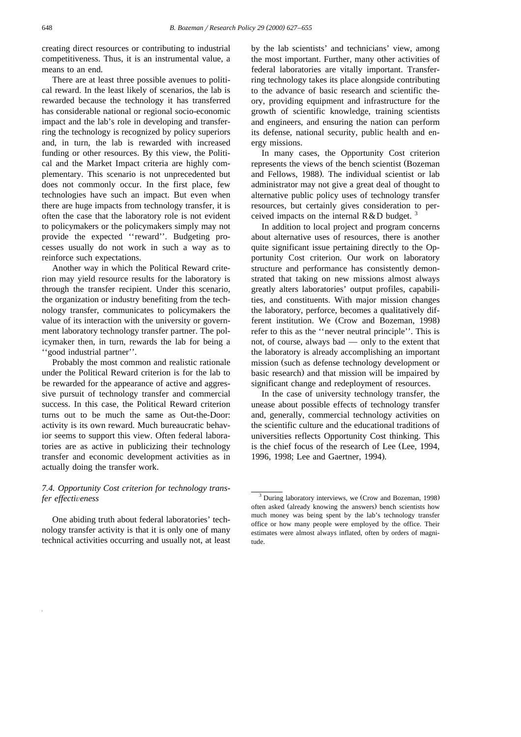creating direct resources or contributing to industrial competitiveness. Thus, it is an instrumental value, a means to an end.

There are at least three possible avenues to political reward. In the least likely of scenarios, the lab is rewarded because the technology it has transferred has considerable national or regional socio-economic impact and the lab's role in developing and transferring the technology is recognized by policy superiors and, in turn, the lab is rewarded with increased funding or other resources. By this view, the Political and the Market Impact criteria are highly complementary. This scenario is not unprecedented but does not commonly occur. In the first place, few technologies have such an impact. But even when there are huge impacts from technology transfer, it is often the case that the laboratory role is not evident to policymakers or the policymakers simply may not provide the expected ''reward''. Budgeting processes usually do not work in such a way as to reinforce such expectations.

Another way in which the Political Reward criterion may yield resource results for the laboratory is through the transfer recipient. Under this scenario, the organization or industry benefiting from the technology transfer, communicates to policymakers the value of its interaction with the university or government laboratory technology transfer partner. The policymaker then, in turn, rewards the lab for being a ''good industrial partner''.

Probably the most common and realistic rationale under the Political Reward criterion is for the lab to be rewarded for the appearance of active and aggressive pursuit of technology transfer and commercial success. In this case, the Political Reward criterion turns out to be much the same as Out-the-Door: activity is its own reward. Much bureaucratic behavior seems to support this view. Often federal laboratories are as active in publicizing their technology transfer and economic development activities as in actually doing the transfer work.

# *7.4. Opportunity Cost criterion for technology transfer effecti*Õ*eness*

One abiding truth about federal laboratories' technology transfer activity is that it is only one of many technical activities occurring and usually not, at least

by the lab scientists' and technicians' view, among the most important. Further, many other activities of federal laboratories are vitally important. Transferring technology takes its place alongside contributing to the advance of basic research and scientific theory, providing equipment and infrastructure for the growth of scientific knowledge, training scientists and engineers, and ensuring the nation can perform its defense, national security, public health and energy missions.

In many cases, the Opportunity Cost criterion represents the views of the bench scientist (Bozeman and Fellows, 1988). The individual scientist or lab administrator may not give a great deal of thought to alternative public policy uses of technology transfer resources, but certainly gives consideration to perceived impacts on the internal  $R & D$  budget.<sup>3</sup>

In addition to local project and program concerns about alternative uses of resources, there is another quite significant issue pertaining directly to the Opportunity Cost criterion. Our work on laboratory structure and performance has consistently demonstrated that taking on new missions almost always greatly alters laboratories' output profiles, capabilities, and constituents. With major mission changes the laboratory, perforce, becomes a qualitatively different institution. We (Crow and Bozeman, 1998) refer to this as the ''never neutral principle''. This is not, of course, always bad — only to the extent that the laboratory is already accomplishing an important mission (such as defense technology development or basic research) and that mission will be impaired by significant change and redeployment of resources.

In the case of university technology transfer, the unease about possible effects of technology transfer and, generally, commercial technology activities on the scientific culture and the educational traditions of universities reflects Opportunity Cost thinking. This is the chief focus of the research of Lee (Lee, 1994, 1996, 1998; Lee and Gaertner, 1994).

 $3$  During laboratory interviews, we (Crow and Bozeman, 1998) often asked (already knowing the answers) bench scientists how much money was being spent by the lab's technology transfer office or how many people were employed by the office. Their estimates were almost always inflated, often by orders of magnitude.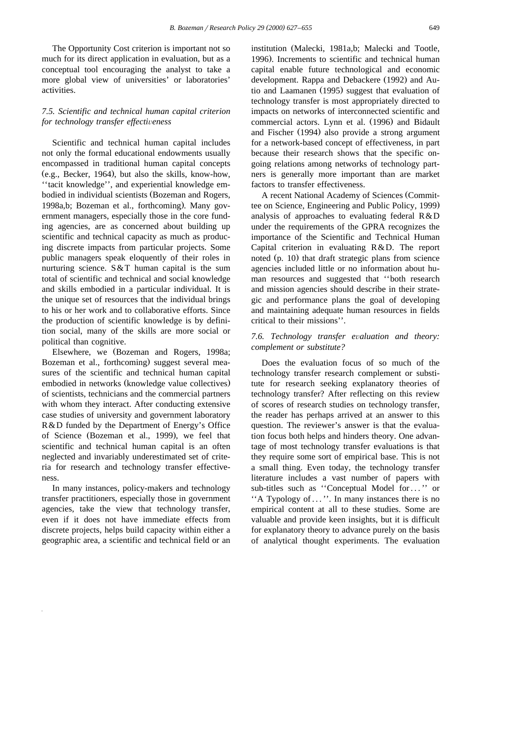The Opportunity Cost criterion is important not so much for its direct application in evaluation, but as a conceptual tool encouraging the analyst to take a more global view of universities' or laboratories' activities.

# *7.5. Scientific and technical human capital criterion for technology transfer effectiveness*

Scientific and technical human capital includes not only the formal educational endowments usually encompassed in traditional human capital concepts  $(e.g., Becker, 1964)$ , but also the skills, know-how, ''tacit knowledge'', and experiential knowledge embodied in individual scientists (Bozeman and Rogers, 1998a,b; Bozeman et al., forthcoming). Many government managers, especially those in the core funding agencies, are as concerned about building up scientific and technical capacity as much as producing discrete impacts from particular projects. Some public managers speak eloquently of their roles in nurturing science. S&T human capital is the sum total of scientific and technical and social knowledge and skills embodied in a particular individual. It is the unique set of resources that the individual brings to his or her work and to collaborative efforts. Since the production of scientific knowledge is by definition social, many of the skills are more social or political than cognitive.

Elsewhere, we (Bozeman and Rogers, 1998a; Bozeman et al., forthcoming) suggest several measures of the scientific and technical human capital embodied in networks (knowledge value collectives) of scientists, technicians and the commercial partners with whom they interact. After conducting extensive case studies of university and government laboratory R&D funded by the Department of Energy's Office of Science (Bozeman et al., 1999), we feel that scientific and technical human capital is an often neglected and invariably underestimated set of criteria for research and technology transfer effectiveness.

In many instances, policy-makers and technology transfer practitioners, especially those in government agencies, take the view that technology transfer, even if it does not have immediate effects from discrete projects, helps build capacity within either a geographic area, a scientific and technical field or an

institution (Malecki, 1981a,b; Malecki and Tootle, 1996). Increments to scientific and technical human capital enable future technological and economic development. Rappa and Debackere (1992) and Autio and Laamanen (1995) suggest that evaluation of technology transfer is most appropriately directed to impacts on networks of interconnected scientific and commercial actors. Lynn et al. (1996) and Bidault and Fischer (1994) also provide a strong argument for a network-based concept of effectiveness, in part because their research shows that the specific ongoing relations among networks of technology partners is generally more important than are market factors to transfer effectiveness.

A recent National Academy of Sciences (Committee on Science, Engineering and Public Policy, 1999. analysis of approaches to evaluating federal R&D under the requirements of the GPRA recognizes the importance of the Scientific and Technical Human Capital criterion in evaluating R&D. The report noted  $(p. 10)$  that draft strategic plans from science agencies included little or no information about human resources and suggested that ''both research and mission agencies should describe in their strategic and performance plans the goal of developing and maintaining adequate human resources in fields critical to their missions''.

# 7.6. Technology transfer evaluation and theory: *complement or substitute?*

Does the evaluation focus of so much of the technology transfer research complement or substitute for research seeking explanatory theories of technology transfer? After reflecting on this review of scores of research studies on technology transfer, the reader has perhaps arrived at an answer to this question. The reviewer's answer is that the evaluation focus both helps and hinders theory. One advantage of most technology transfer evaluations is that they require some sort of empirical base. This is not a small thing. Even today, the technology transfer literature includes a vast number of papers with sub-titles such as "Conceptual Model for ..." or "A Typology of ...". In many instances there is no empirical content at all to these studies. Some are valuable and provide keen insights, but it is difficult for explanatory theory to advance purely on the basis of analytical thought experiments. The evaluation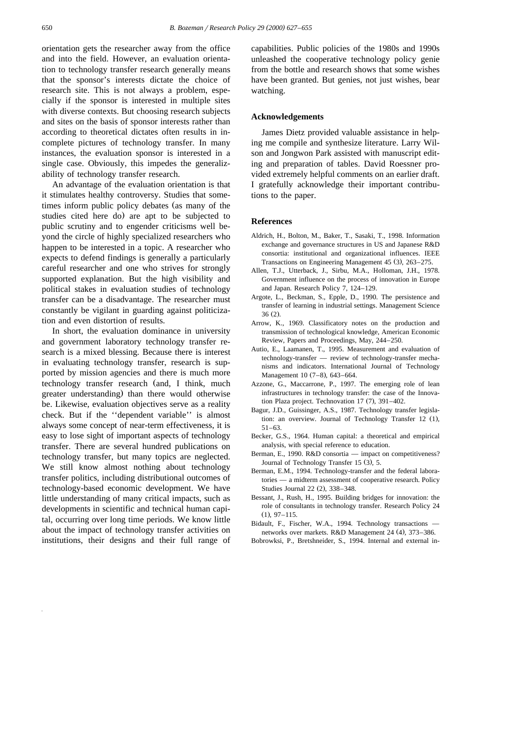orientation gets the researcher away from the office and into the field. However, an evaluation orientation to technology transfer research generally means that the sponsor's interests dictate the choice of research site. This is not always a problem, especially if the sponsor is interested in multiple sites with diverse contexts. But choosing research subjects and sites on the basis of sponsor interests rather than according to theoretical dictates often results in incomplete pictures of technology transfer. In many instances, the evaluation sponsor is interested in a single case. Obviously, this impedes the generalizability of technology transfer research.

An advantage of the evaluation orientation is that it stimulates healthy controversy. Studies that sometimes inform public policy debates (as many of the studies cited here do) are apt to be subjected to public scrutiny and to engender criticisms well beyond the circle of highly specialized researchers who happen to be interested in a topic. A researcher who expects to defend findings is generally a particularly careful researcher and one who strives for strongly supported explanation. But the high visibility and political stakes in evaluation studies of technology transfer can be a disadvantage. The researcher must constantly be vigilant in guarding against politicization and even distortion of results.

In short, the evaluation dominance in university and government laboratory technology transfer research is a mixed blessing. Because there is interest in evaluating technology transfer, research is supported by mission agencies and there is much more technology transfer research (and, I think, much greater understanding) than there would otherwise be. Likewise, evaluation objectives serve as a reality check. But if the ''dependent variable'' is almost always some concept of near-term effectiveness, it is easy to lose sight of important aspects of technology transfer. There are several hundred publications on technology transfer, but many topics are neglected. We still know almost nothing about technology transfer politics, including distributional outcomes of technology-based economic development. We have little understanding of many critical impacts, such as developments in scientific and technical human capital, occurring over long time periods. We know little about the impact of technology transfer activities on institutions, their designs and their full range of

capabilities. Public policies of the 1980s and 1990s unleashed the cooperative technology policy genie from the bottle and research shows that some wishes have been granted. But genies, not just wishes, bear watching.

## **Acknowledgements**

James Dietz provided valuable assistance in helping me compile and synthesize literature. Larry Wilson and Jongwon Park assisted with manuscript editing and preparation of tables. David Roessner provided extremely helpful comments on an earlier draft. I gratefully acknowledge their important contributions to the paper.

#### **References**

- Aldrich, H., Bolton, M., Baker, T., Sasaki, T., 1998. Information exchange and governance structures in US and Japanese R&D consortia: institutional and organizational influences. IEEE Transactions on Engineering Management  $45$  (3),  $263-275$ .
- Allen, T.J., Utterback, J., Sirbu, M.A., Holloman, J.H., 1978. Government influence on the process of innovation in Europe and Japan. Research Policy 7, 124–129.
- Argote, L., Beckman, S., Epple, D., 1990. The persistence and transfer of learning in industrial settings. Management Science  $36(2)$ .
- Arrow, K., 1969. Classificatory notes on the production and transmission of technological knowledge, American Economic Review, Papers and Proceedings, May, 244–250.
- Autio, E., Laamanen, T., 1995. Measurement and evaluation of technology-transfer — review of technology-transfer mechanisms and indicators. International Journal of Technology Management 10  $(7-8)$ , 643-664.
- Azzone, G., Maccarrone, P., 1997. The emerging role of lean infrastructures in technology transfer: the case of the Innovation Plaza project. Technovation  $17$  (7),  $391-402$ .
- Bagur, J.D., Guissinger, A.S., 1987. Technology transfer legislation: an overview. Journal of Technology Transfer  $12$   $(1)$ , 51–63.
- Becker, G.S., 1964. Human capital: a theoretical and empirical analysis, with special reference to education.
- Berman, E., 1990. R&D consortia impact on competitiveness? Journal of Technology Transfer 15 (3), 5.
- Berman, E.M., 1994. Technology-transfer and the federal laboratories — a midterm assessment of cooperative research. Policy Studies Journal 22 (2), 338–348.
- Bessant, J., Rush, H., 1995. Building bridges for innovation: the role of consultants in technology transfer. Research Policy 24  $(1)$ , 97–115.
- Bidault, F., Fischer, W.A., 1994. Technology transactions networks over markets. R&D Management 24 (4), 373-386.
- Bobrowksi, P., Bretshneider, S., 1994. Internal and external in-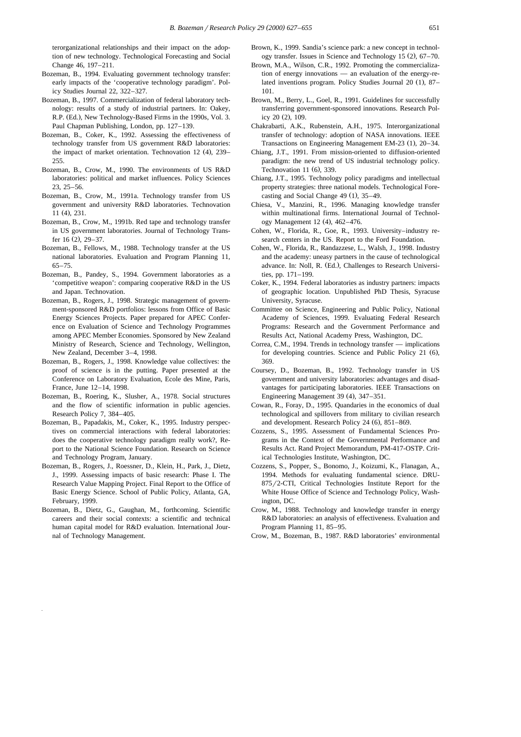terorganizational relationships and their impact on the adoption of new technology. Technological Forecasting and Social Change 46, 197–211.

- Bozeman, B., 1994. Evaluating government technology transfer: early impacts of the 'cooperative technology paradigm'. Policy Studies Journal 22, 322–327.
- Bozeman, B., 1997. Commercialization of federal laboratory technology: results of a study of industrial partners. In: Oakey, R.P. (Ed.), New Technology-Based Firms in the 1990s, Vol. 3. Paul Chapman Publishing, London, pp. 127–139.
- Bozeman, B., Coker, K., 1992. Assessing the effectiveness of technology transfer from US government R&D laboratories: the impact of market orientation. Technovation 12 (4), 239– 255.
- Bozeman, B., Crow, M., 1990. The environments of US R&D laboratories: political and market influences. Policy Sciences 23, 25–56.
- Bozeman, B., Crow, M., 1991a. Technology transfer from US government and university R&D laboratories. Technovation  $11$  (4),  $231$ .
- Bozeman, B., Crow, M., 1991b. Red tape and technology transfer in US government laboratories. Journal of Technology Transfer 16 (2), 29–37.
- Bozeman, B., Fellows, M., 1988. Technology transfer at the US national laboratories. Evaluation and Program Planning 11, 65–75.
- Bozeman, B., Pandey, S., 1994. Government laboratories as a 'competitive weapon': comparing cooperative R&D in the US and Japan. Technovation.
- Bozeman, B., Rogers, J., 1998. Strategic management of government-sponsored R&D portfolios: lessons from Office of Basic Energy Sciences Projects. Paper prepared for APEC Conference on Evaluation of Science and Technology Programmes among APEC Member Economies. Sponsored by New Zealand Ministry of Research, Science and Technology, Wellington, New Zealand, December 3–4, 1998.
- Bozeman, B., Rogers, J., 1998. Knowledge value collectives: the proof of science is in the putting. Paper presented at the Conference on Laboratory Evaluation, Ecole des Mine, Paris, France, June 12–14, 1998.
- Bozeman, B., Roering, K., Slusher, A., 1978. Social structures and the flow of scientific information in public agencies. Research Policy 7, 384–405.
- Bozeman, B., Papadakis, M., Coker, K., 1995. Industry perspectives on commercial interactions with federal laboratories: does the cooperative technology paradigm really work?, Report to the National Science Foundation. Research on Science and Technology Program, January.
- Bozeman, B., Rogers, J., Roessner, D., Klein, H., Park, J., Dietz, J., 1999. Assessing impacts of basic research: Phase I. The Research Value Mapping Project. Final Report to the Office of Basic Energy Science. School of Public Policy, Atlanta, GA, February, 1999.
- Bozeman, B., Dietz, G., Gaughan, M., forthcoming. Scientific careers and their social contexts: a scientific and technical human capital model for R&D evaluation. International Journal of Technology Management.
- Brown, K., 1999. Sandia's science park: a new concept in technology transfer. Issues in Science and Technology  $15$   $(2)$ ,  $67-70$ .
- Brown, M.A., Wilson, C.R., 1992. Promoting the commercialization of energy innovations — an evaluation of the energy-related inventions program. Policy Studies Journal 20 (1), 87– 101.
- Brown, M., Berry, L., Goel, R., 1991. Guidelines for successfully transferring government-sponsored innovations. Research Policy 20 (2), 109.
- Chakrabarti, A.K., Rubenstein, A.H., 1975. Interorganizational transfer of technology: adoption of NASA innovations. IEEE Transactions on Engineering Management EM-23 (1), 20-34.
- Chiang, J.T., 1991. From mission-oriented to diffusion-oriented paradigm: the new trend of US industrial technology policy. Technovation  $11$  (6), 339.
- Chiang, J.T., 1995. Technology policy paradigms and intellectual property strategies: three national models. Technological Forecasting and Social Change  $49$  (1),  $35-49$ .
- Chiesa, V., Manzini, R., 1996. Managing knowledge transfer within multinational firms. International Journal of Technology Management 12 (4), 462–476.
- Cohen, W., Florida, R., Goe, R., 1993. University–industry research centers in the US. Report to the Ford Foundation.
- Cohen, W., Florida, R., Randazzese, L., Walsh, J., 1998. Industry and the academy: uneasy partners in the cause of technological advance. In: Noll, R. (Ed.), Challenges to Research Universities, pp. 171–199.
- Coker, K., 1994. Federal laboratories as industry partners: impacts of geographic location. Unpublished PhD Thesis, Syracuse University, Syracuse.
- Committee on Science, Engineering and Public Policy, National Academy of Sciences, 1999. Evaluating Federal Research Programs: Research and the Government Performance and Results Act, National Academy Press, Washington, DC.
- Correa, C.M., 1994. Trends in technology transfer implications for developing countries. Science and Public Policy 21 (6), 369.
- Coursey, D., Bozeman, B., 1992. Technology transfer in US government and university laboratories: advantages and disadvantages for participating laboratories. IEEE Transactions on Engineering Management 39  $(4)$ , 347–351.
- Cowan, R., Foray, D., 1995. Quandaries in the economics of dual technological and spillovers from military to civilian research and development. Research Policy  $24$  (6),  $851-869$ .
- Cozzens, S., 1995. Assessment of Fundamental Sciences Programs in the Context of the Governmental Performance and Results Act. Rand Project Memorandum, PM-417-OSTP. Critical Technologies Institute, Washington, DC.
- Cozzens, S., Popper, S., Bonomo, J., Koizumi, K., Flanagan, A., 1994. Methods for evaluating fundamental science. DRU-875/2-CTI, Critical Technologies Institute Report for the White House Office of Science and Technology Policy, Washington, DC.
- Crow, M., 1988. Technology and knowledge transfer in energy R&D laboratories: an analysis of effectiveness. Evaluation and Program Planning 11, 85–95.
- Crow, M., Bozeman, B., 1987. R&D laboratories' environmental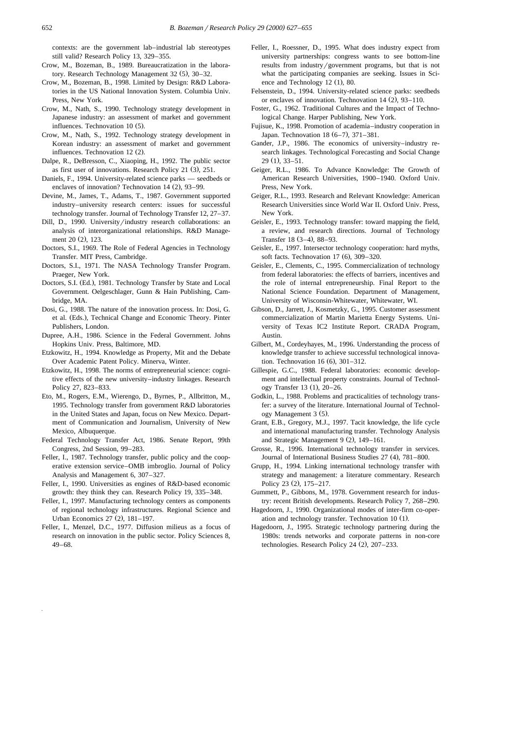contexts: are the government lab–industrial lab stereotypes still valid? Research Policy 13, 329–355.

- Crow, M., Bozeman, B., 1989. Bureaucratization in the laboratory. Research Technology Management  $32$  (5),  $30-32$ .
- Crow, M., Bozeman, B., 1998. Limited by Design: R&D Laboratories in the US National Innovation System. Columbia Univ. Press, New York.
- Crow, M., Nath, S., 1990. Technology strategy development in Japanese industry: an assessment of market and government influences. Technovation  $10(5)$ .
- Crow, M., Nath, S., 1992. Technology strategy development in Korean industry: an assessment of market and government influences. Technovation 12 (2).
- Dalpe, R., DeBresson, C., Xiaoping, H., 1992. The public sector as first user of innovations. Research Policy 21 (3), 251.
- Daniels, F., 1994. University-related science parks seedbeds or enclaves of innovation? Technovation  $14$   $(2)$ ,  $93-99$ .
- Devine, M., James, T., Adams, T., 1987. Government supported industry–university research centers: issues for successful technology transfer. Journal of Technology Transfer 12, 27–37.
- Dill, D., 1990. University/industry research collaborations: an analysis of interorganizational relationships. R&D Management 20 (2), 123.
- Doctors, S.I., 1969. The Role of Federal Agencies in Technology Transfer. MIT Press, Cambridge.
- Doctors, S.I., 1971. The NASA Technology Transfer Program. Praeger, New York.
- Doctors, S.I. (Ed.), 1981. Technology Transfer by State and Local Government. Oelgeschlager, Gunn & Hain Publishing, Cambridge, MA.
- Dosi, G., 1988. The nature of the innovation process. In: Dosi, G. et al. (Eds.), Technical Change and Economic Theory. Pinter Publishers, London.
- Dupree, A.H., 1986. Science in the Federal Government. Johns Hopkins Univ. Press, Baltimore, MD.
- Etzkowitz, H., 1994. Knowledge as Property, Mit and the Debate Over Academic Patent Policy. Minerva, Winter.
- Etzkowitz, H., 1998. The norms of entrepreneurial science: cognitive effects of the new university–industry linkages. Research Policy 27, 823–833.
- Eto, M., Rogers, E.M., Wierengo, D., Byrnes, P., Allbritton, M., 1995. Technology transfer from government R&D laboratories in the United States and Japan, focus on New Mexico. Department of Communication and Journalism, University of New Mexico, Albuquerque.
- Federal Technology Transfer Act, 1986. Senate Report, 99th Congress, 2nd Session, 99–283.
- Feller, I., 1987. Technology transfer, public policy and the cooperative extension service–OMB imbroglio. Journal of Policy Analysis and Management 6, 307–327.
- Feller, I., 1990. Universities as engines of R&D-based economic growth: they think they can. Research Policy 19, 335–348.
- Feller, I., 1997. Manufacturing technology centers as components of regional technology infrastructures. Regional Science and Urban Economics 27  $(2)$ , 181-197.
- Feller, I., Menzel, D.C., 1977. Diffusion milieus as a focus of research on innovation in the public sector. Policy Sciences 8, 49–68.
- Feller, I., Roessner, D., 1995. What does industry expect from university partnerships: congress wants to see bottom-line results from industry/government programs, but that is not what the participating companies are seeking. Issues in Science and Technology  $12$  (1), 80.
- Felsenstein, D., 1994. University-related science parks: seedbeds or enclaves of innovation. Technovation  $14$   $(2)$ ,  $93-110$ .
- Foster, G., 1962. Traditional Cultures and the Impact of Technological Change. Harper Publishing, New York.
- Fujisue, K., 1998. Promotion of academia–industry cooperation in Japan. Technovation  $18(6-7)$ ,  $371-381$ .
- Gander, J.P., 1986. The economics of university–industry research linkages. Technological Forecasting and Social Change  $29(1)$ ,  $33-51$ .
- Geiger, R.L., 1986. To Advance Knowledge: The Growth of American Research Universities, 1900–1940. Oxford Univ. Press, New York.
- Geiger, R.L., 1993. Research and Relevant Knowledge: American Research Universities since World War II. Oxford Univ. Press, New York.
- Geisler, E., 1993. Technology transfer: toward mapping the field, a review, and research directions. Journal of Technology Transfer 18  $(3-4)$ , 88-93.
- Geisler, E., 1997. Intersector technology cooperation: hard myths, soft facts. Technovation  $17$  (6),  $309-320$ .
- Geisler, E., Clements, C., 1995. Commercialization of technology from federal laboratories: the effects of barriers, incentives and the role of internal entrepreneurship. Final Report to the National Science Foundation. Department of Management, University of Wisconsin-Whitewater, Whitewater, WI.
- Gibson, D., Jarrett, J., Kosmetzky, G., 1995. Customer assessment commercialization of Martin Marietta Energy Systems. University of Texas IC2 Institute Report. CRADA Program, Austin.
- Gilbert, M., Cordeyhayes, M., 1996. Understanding the process of knowledge transfer to achieve successful technological innovation. Technovation 16 (6),  $301-312$ .
- Gillespie, G.C., 1988. Federal laboratories: economic development and intellectual property constraints. Journal of Technology Transfer 13 (1), 20–26.
- Godkin, L., 1988. Problems and practicalities of technology transfer: a survey of the literature. International Journal of Technology Management 3 (5).
- Grant, E.B., Gregory, M.J., 1997. Tacit knowledge, the life cycle and international manufacturing transfer. Technology Analysis and Strategic Management  $9$  (2),  $149-161$ .
- Grosse, R., 1996. International technology transfer in services. Journal of International Business Studies 27 (4), 781-800.
- Grupp, H., 1994. Linking international technology transfer with strategy and management: a literature commentary. Research Policy 23 (2), 175–217.
- Gummett, P., Gibbons, M., 1978. Government research for industry: recent British developments. Research Policy 7, 268–290.
- Hagedoorn, J., 1990. Organizational modes of inter-firm co-operation and technology transfer. Technovation 10 (1).
- Hagedoorn, J., 1995. Strategic technology partnering during the 1980s: trends networks and corporate patterns in non-core technologies. Research Policy  $24$   $(2)$ ,  $207-233$ .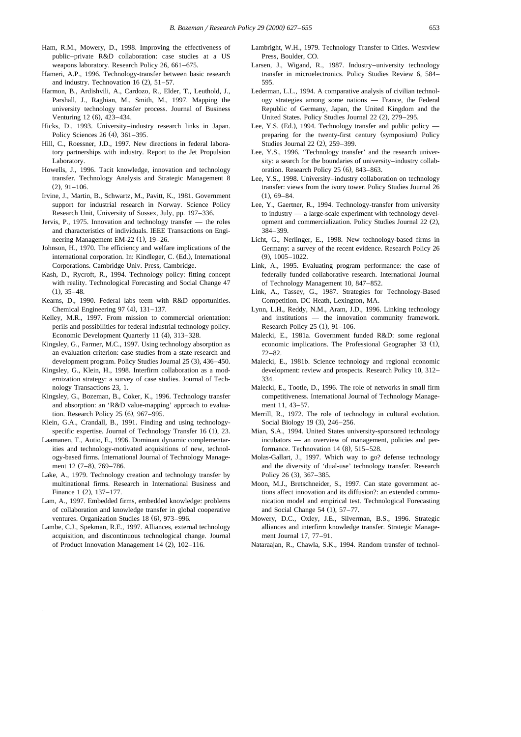- Ham, R.M., Mowery, D., 1998. Improving the effectiveness of public–private R&D collaboration: case studies at a US weapons laboratory. Research Policy 26, 661–675.
- Hameri, A.P., 1996. Technology-transfer between basic research and industry. Technovation  $16(2)$ ,  $51-57$ .
- Harmon, B., Ardishvili, A., Cardozo, R., Elder, T., Leuthold, J., Parshall, J., Raghian, M., Smith, M., 1997. Mapping the university technology transfer process. Journal of Business Venturing 12 (6), 423–434.
- Hicks, D., 1993. University–industry research links in Japan. Policy Sciences 26 (4), 361-395.
- Hill, C., Roessner, J.D., 1997. New directions in federal laboratory partnerships with industry. Report to the Jet Propulsion Laboratory.
- Howells, J., 1996. Tacit knowledge, innovation and technology transfer. Technology Analysis and Strategic Management 8  $(2)$ , 91–106.
- Irvine, J., Martin, B., Schwartz, M., Pavitt, K., 1981. Government support for industrial research in Norway. Science Policy Research Unit, University of Sussex, July, pp. 197–336.
- Jervis, P., 1975. Innovation and technology transfer the roles and characteristics of individuals. IEEE Transactions on Engineering Management EM-22 (1), 19-26.
- Johnson, H., 1970. The efficiency and welfare implications of the international corporation. In: Kindleger, C. (Ed.), International Corporations. Cambridge Univ. Press, Cambridge.
- Kash, D., Rycroft, R., 1994. Technology policy: fitting concept with reality. Technological Forecasting and Social Change 47  $(1)$ , 35–48.
- Kearns, D., 1990. Federal labs teem with R&D opportunities. Chemical Engineering  $97$  (4),  $131-137$ .
- Kelley, M.R., 1997. From mission to commercial orientation: perils and possibilities for federal industrial technology policy. Economic Development Quarterly 11 (4), 313–328.
- Kingsley, G., Farmer, M.C., 1997. Using technology absorption as an evaluation criterion: case studies from a state research and development program. Policy Studies Journal 25 (3), 436–450.
- Kingsley, G., Klein, H., 1998. Interfirm collaboration as a modernization strategy: a survey of case studies. Journal of Technology Transactions 23, 1.
- Kingsley, G., Bozeman, B., Coker, K., 1996. Technology transfer and absorption: an 'R&D value-mapping' approach to evaluation. Research Policy 25 (6), 967-995.
- Klein, G.A., Crandall, B., 1991. Finding and using technologyspecific expertise. Journal of Technology Transfer  $16$  (1), 23.
- Laamanen, T., Autio, E., 1996. Dominant dynamic complementarities and technology-motivated acquisitions of new, technology-based firms. International Journal of Technology Management 12 (7-8), 769-786.
- Lake, A., 1979. Technology creation and technology transfer by multinational firms. Research in International Business and Finance 1  $(2)$ , 137–177.
- Lam, A., 1997. Embedded firms, embedded knowledge: problems of collaboration and knowledge transfer in global cooperative ventures. Organization Studies  $18$  (6), 973–996.
- Lambe, C.J., Spekman, R.E., 1997. Alliances, external technology acquisition, and discontinuous technological change. Journal of Product Innovation Management  $14$   $(2)$ ,  $102-116$ .
- Lambright, W.H., 1979. Technology Transfer to Cities. Westview Press, Boulder, CO.
- Larsen, J., Wigand, R., 1987. Industry–university technology transfer in microelectronics. Policy Studies Review 6, 584– 595.
- Lederman, L.L., 1994. A comparative analysis of civilian technology strategies among some nations — France, the Federal Republic of Germany, Japan, the United Kingdom and the United States. Policy Studies Journal 22 (2), 279–295.
- Lee, Y.S. (Ed.), 1994. Technology transfer and public policy  $$ preparing for the twenty-first century (symposium) Policy Studies Journal 22 (2), 259-399.
- Lee, Y.S., 1996. 'Technology transfer' and the research university: a search for the boundaries of university–industry collaboration. Research Policy 25 (6), 843-863.
- Lee, Y.S., 1998. University–industry collaboration on technology transfer: views from the ivory tower. Policy Studies Journal 26  $(1)$ , 69–84.
- Lee, Y., Gaertner, R., 1994. Technology-transfer from university to industry — a large-scale experiment with technology development and commercialization. Policy Studies Journal 22 (2), 384–399.
- Licht, G., Nerlinger, E., 1998. New technology-based firms in Germany: a survey of the recent evidence. Research Policy 26  $(9)$ ,  $1005 - 1022$ .
- Link, A., 1995. Evaluating program performance: the case of federally funded collaborative research. International Journal of Technology Management 10, 847–852.
- Link, A., Tassey, G., 1987. Strategies for Technology-Based Competition. DC Heath, Lexington, MA.
- Lynn, L.H., Reddy, N.M., Aram, J.D., 1996. Linking technology and institutions — the innovation community framework. Research Policy 25 (1), 91-106.
- Malecki, E., 1981a. Government funded R&D: some regional economic implications. The Professional Geographer 33 (1), 72–82.
- Malecki, E., 1981b. Science technology and regional economic development: review and prospects. Research Policy 10, 312– 334.
- Malecki, E., Tootle, D., 1996. The role of networks in small firm competitiveness. International Journal of Technology Management 11, 43–57.
- Merrill, R., 1972. The role of technology in cultural evolution. Social Biology 19 (3), 246–256.
- Mian, S.A., 1994. United States university-sponsored technology incubators — an overview of management, policies and performance. Technovation  $14$   $(8)$ ,  $515-528$ .
- Molas-Gallart, J., 1997. Which way to go? defense technology and the diversity of 'dual-use' technology transfer. Research Policy 26  $(3)$ , 367–385.
- Moon, M.J., Bretschneider, S., 1997. Can state government actions affect innovation and its diffusion?: an extended communication model and empirical test. Technological Forecasting and Social Change  $54$  (1),  $57-77$ .
- Mowery, D.C., Oxley, J.E., Silverman, B.S., 1996. Strategic alliances and interfirm knowledge transfer. Strategic Management Journal 17, 77–91.
- Nataraajan, R., Chawla, S.K., 1994. Random transfer of technol-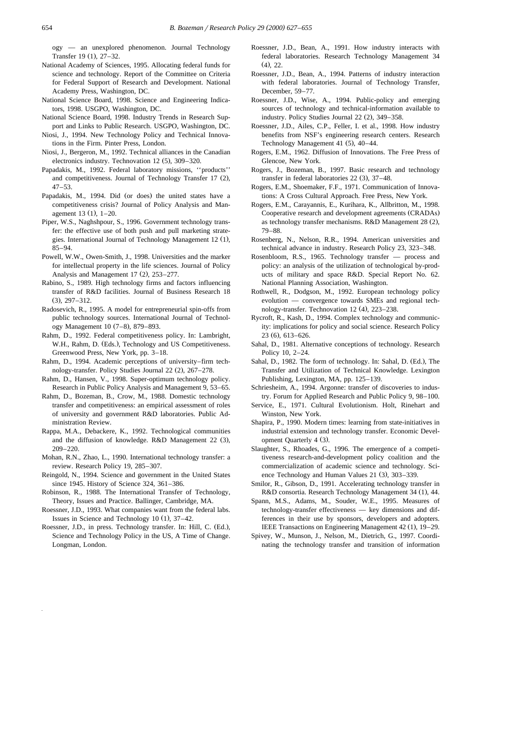ogy — an unexplored phenomenon. Journal Technology Transfer 19 (1), 27-32.

- National Academy of Sciences, 1995. Allocating federal funds for science and technology. Report of the Committee on Criteria for Federal Support of Research and Development. National Academy Press, Washington, DC.
- National Science Board, 1998. Science and Engineering Indicators, 1998. USGPO, Washington, DC.
- National Science Board, 1998. Industry Trends in Research Support and Links to Public Research. USGPO, Washington, DC.
- Niosi, J., 1994. New Technology Policy and Technical Innovations in the Firm. Pinter Press, London.
- Niosi, J., Bergeron, M., 1992. Technical alliances in the Canadian electronics industry. Technovation  $12$  (5),  $309-320$ .
- Papadakis, M., 1992. Federal laboratory missions, ''products'' and competitiveness. Journal of Technology Transfer  $17$   $(2)$ , 47–53.
- Papadakis, M., 1994. Did (or does) the united states have a competitiveness crisis? Journal of Policy Analysis and Management 13  $(1)$ , 1-20.
- Piper, W.S., Naghshpour, S., 1996. Government technology transfer: the effective use of both push and pull marketing strategies. International Journal of Technology Management 12 (1), 85–94.
- Powell, W.W., Owen-Smith, J., 1998. Universities and the marker for intellectual property in the life sciences. Journal of Policy Analysis and Management  $17$   $(2)$ ,  $253-277$ .
- Rabino, S., 1989. High technology firms and factors influencing transfer of R&D facilities. Journal of Business Research 18  $(3)$ , 297–312.
- Radosevich, R., 1995. A model for entrepreneurial spin-offs from public technology sources. International Journal of Technology Management 10 (7-8), 879-893.
- Rahm, D., 1992. Federal competitiveness policy. In: Lambright, W.H., Rahm, D. (Eds.), Technology and US Competitiveness. Greenwood Press, New York, pp. 3–18.
- Rahm, D., 1994. Academic perceptions of university–firm technology-transfer. Policy Studies Journal  $22$  (2),  $267-278$ .
- Rahm, D., Hansen, V., 1998. Super-optimum technology policy. Research in Public Policy Analysis and Management 9, 53–65.
- Rahm, D., Bozeman, B., Crow, M., 1988. Domestic technology transfer and competitiveness: an empirical assessment of roles of university and government R&D laboratories. Public Administration Review.
- Rappa, M.A., Debackere, K., 1992. Technological communities and the diffusion of knowledge. R&D Management 22 (3), 209–220.
- Mohan, R.N., Zhao, L., 1990. International technology transfer: a review. Research Policy 19, 285–307.
- Reingold, N., 1994. Science and government in the United States since 1945. History of Science 324, 361–386.
- Robinson, R., 1988. The International Transfer of Technology, Theory, Issues and Practice. Ballinger, Cambridge, MA.
- Roessner, J.D., 1993. What companies want from the federal labs. Issues in Science and Technology  $10(1)$ ,  $37-42$ .
- Roessner, J.D., in press. Technology transfer. In: Hill, C. (Ed.), Science and Technology Policy in the US, A Time of Change. Longman, London.
- Roessner, J.D., Bean, A., 1991. How industry interacts with federal laboratories. Research Technology Management 34  $(4)$ , 22.
- Roessner, J.D., Bean, A., 1994. Patterns of industry interaction with federal laboratories. Journal of Technology Transfer, December, 59–77.
- Roessner, J.D., Wise, A., 1994. Public-policy and emerging sources of technology and technical-information available to industry. Policy Studies Journal  $22$   $(2)$ ,  $349-358$ .
- Roessner, J.D., Ailes, C.P., Feller, I. et al., 1998. How industry benefits from NSF's engineering research centers. Research Technology Management  $41$  (5),  $40-44$ .
- Rogers, E.M., 1962. Diffusion of Innovations. The Free Press of Glencoe, New York.
- Rogers, J., Bozeman, B., 1997. Basic research and technology transfer in federal laboratories  $22$  (3),  $37-48$ .
- Rogers, E.M., Shoemaker, F.F., 1971. Communication of Innovations: A Cross Cultural Approach. Free Press, New York.
- Rogers, E.M., Carayannis, E., Kurihara, K., Allbritton, M., 1998. Cooperative research and development agreements (CRADAs) as technology transfer mechanisms. R&D Management 28 (2), 79–88.
- Rosenberg, N., Nelson, R.R., 1994. American universities and technical advance in industry. Research Policy 23, 323–348.
- Rosenbloom, R.S., 1965. Technology transfer process and policy: an analysis of the utilization of technological by-products of military and space R&D. Special Report No. 62. National Planning Association, Washington.
- Rothwell, R., Dodgson, M., 1992. European technology policy evolution — convergence towards SMEs and regional technology-transfer. Technovation  $12$  (4),  $223-238$ .
- Rycroft, R., Kash, D., 1994. Complex technology and communicity: implications for policy and social science. Research Policy  $23(6)$ , 613–626.
- Sahal, D., 1981. Alternative conceptions of technology. Research Policy 10, 2–24.
- Sahal, D., 1982. The form of technology. In: Sahal, D. (Ed.), The Transfer and Utilization of Technical Knowledge. Lexington Publishing, Lexington, MA, pp. 125–139.
- Schriesheim, A., 1994. Argonne: transfer of discoveries to industry. Forum for Applied Research and Public Policy 9, 98–100.
- Service, E., 1971. Cultural Evolutionism. Holt, Rinehart and Winston, New York.
- Shapira, P., 1990. Modern times: learning from state-initiatives in industrial extension and technology transfer. Economic Development Quarterly 4 (3).
- Slaughter, S., Rhoades, G., 1996. The emergence of a competitiveness research-and-development policy coalition and the commercialization of academic science and technology. Science Technology and Human Values  $21$  (3),  $303-339$ .
- Smilor, R., Gibson, D., 1991. Accelerating technology transfer in R&D consortia. Research Technology Management 34 (1), 44.
- Spann, M.S., Adams, M., Souder, W.E., 1995. Measures of technology-transfer effectiveness — key dimensions and differences in their use by sponsors, developers and adopters. IEEE Transactions on Engineering Management 42 (1), 19-29.
- Spivey, W., Munson, J., Nelson, M., Dietrich, G., 1997. Coordinating the technology transfer and transition of information